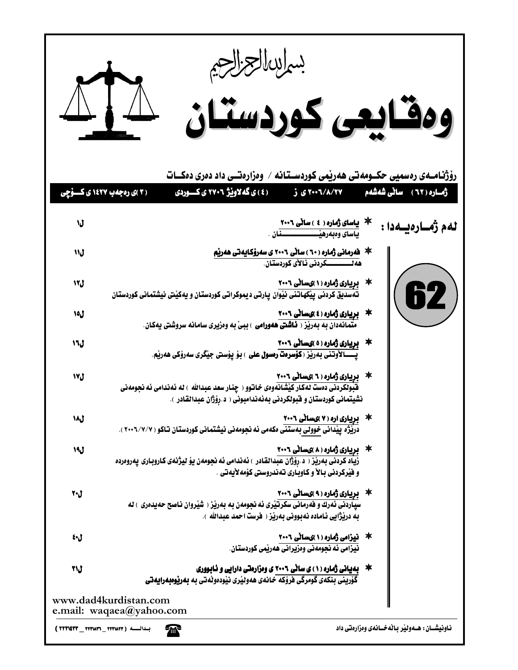|     | بساسالجزالجم<br>MA<br>ومقايعى كوردستان                                                                                                                                                                                  |                                                  |
|-----|-------------------------------------------------------------------------------------------------------------------------------------------------------------------------------------------------------------------------|--------------------------------------------------|
|     | رۆژنـامــەی رەسمیی حکــومەتـی ھەرپمی کوردســتـانـه / وەزارەتــی داد دەری دەكـــات<br>( ٤ ) ي گه لاونيژ ٢٧٠٦ ي کـــوردي<br>۲۰۰٦/۸/۲۷ ی ز<br>( ۳ )ی رهجه ب ۱٤۲۷ ی کسوچی                                                   | ژمــاره ( ٦٢ ) - ساٽي شەشەم                      |
| V   |                                                                                                                                                                                                                         | لەم ژەسارەيسەدا :                                |
| ل۱۱ |                                                                                                                                                                                                                         |                                                  |
| ل۱۲ |                                                                                                                                                                                                                         | $\left($ 62 $\right)$                            |
| ل۱۵ |                                                                                                                                                                                                                         |                                                  |
| ل۱٦ | 本۔ <mark>بریاری ژمارہ ( ٥ )یساٹی ٢٠٠٦</mark><br>پــــالأوتنی بەریز ( <b>کۆسرەت رەسول علی</b> ) بۆ پۆستی جیّگری <i>سە</i> رۆکی ھەریم.                                                                                    |                                                  |
| ٦٧  | 本 ی <mark>ریاری ژماره ( ٦ )یسانی ٢٠٠٦</mark><br>فبولکردنی د <i>هست</i> لهکار کیشانهو <i>هی خ</i> اتوو ( چنار سعد عبدالله ) له نهندامی نه نجومهنی<br>نشيتمانى كوردستان و فبولكردنى بەئەندامبونى ( د.رِوْژان عبدالقادر ). |                                                  |
| ل۱۸ | * یوپیاری اره ( ۷ )ی سانی ۲۰۰۶<br>دریژه ییدانی خوولی بهستنی مکهمی ئه نجومهنی نیشتمانی کوردستان تاکو ( ۲۰۰۷/۷/۷ ).                                                                                                       |                                                  |
| 1٩  | * بریاری ژماره ( ۸ )یسانی ۲۰۰٦<br>رْياد كردنى بەرێز ( د.رۆژان عبدالقادر ) ئەندامى ئە نجومەن يۆ ليژنەى كاروبارى پەروەردە<br>و فَيْرِكردني بِـالاً و كـاوبـاري تـه نـدروستي كوْمه لأيه تـي .                              |                                                  |
| ل+۲ | * یریاری ژماره ( ۹ )یسانی ۲۰۰٦<br>سیاردنی ئەرك و فەرمانی سكرتیری ئە نجومەن بە بەریز ( شیروان ناصح حەيدەری ) لە<br>به دريْژايي ئـاماده نـهبووني بـهريْز ( هرست احمد عبدالله ).                                           |                                                  |
| ل•٤ | * فیزامی ژماره (۱)یسانی ۲۰۰۶<br>نیزامی ئه نجومهنی وهزیرانی ههریمی کوردستان.                                                                                                                                             |                                                  |
| ل۲۱ | * بهیانی ژماره (۱) ی ساٽی ۲۰۰۲ ی ومزارهتی دارایی و نـابـووری<br>گۆرينى بنكەي گومرگى فرۆكە خانەي ھەولێرى نێودەوٽەتى بە <b>بەرێوەبەرايەتى</b>                                                                             |                                                  |
|     | www.dad4kurdistan.com<br>e.mail: waqaea@yahoo.com<br>梵<br>بلدالـــــــه ( ٢٢٣٧٨٣٦ _ ٣٢٣٧٤٣٣ _ ٣٣٣١٤٣٣ )                                                                                                                 | ناونیشــان : هــهولیر بـاللهخــانهی وهزارهتی داد |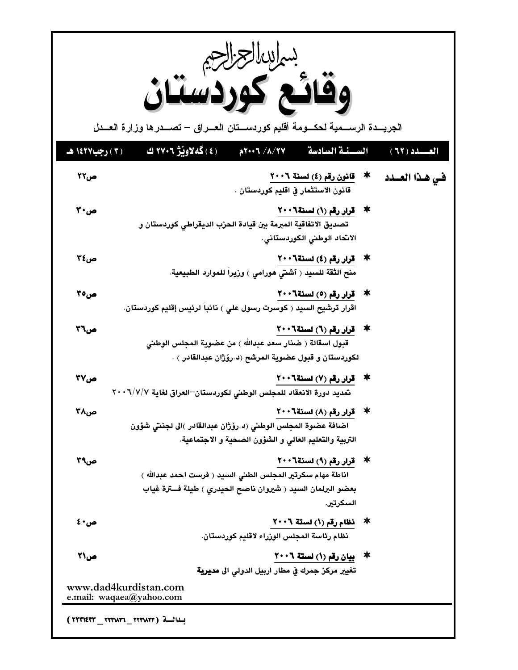|                | بساسالعزاج<br>الجريـــدة الرســـمية لحكـــومة أقليم كوردســـتان العـــراق – تصـــدرها وزارة العـــدل                                                                |
|----------------|---------------------------------------------------------------------------------------------------------------------------------------------------------------------|
| (٢) رجب١٤٢٧ هـ | (٤) گەلاويىژ ٢٧٠٦ ك<br>$A$ 7 $\sqrt{\frac{1}{1-\gamma}}$<br>السيبغة السادسة<br>العسلد ( ٦٢ )                                                                        |
| ص۲۲            | * قانون رقم (٤) لسنة ٢٠٠٦<br>في هذا العــدد<br>قانون الاستثمار في اقليم كوردستان .                                                                                  |
| ص 20           | * قرار رقم (١) لسنة ٢٠٠٦<br>تصديق الاتفاقية المبرمة بين قيادة الحزب الديقراطي كوردستان و<br>الانحاد الوطني الكوردستاني.                                             |
| ص٢٤            | ☀ _ قرار رقم (٤) لسنة٢٠٠٦<br>منح الثقة للسيد ( آشتي هورامي ) وزيراً للموارد الطبيعية.                                                                               |
| ص70            | * قرار رقم (٥) لسنة ٢٠٠٦<br>اقرار ترشيح السيد ( كوسرت رسول علي ) نائباً لرئيس إقليم كوردستان.                                                                       |
| ص٢٦            | * قرار رقم (٦) لسنة٢٠٠٦<br>قبول اسقالة ( ضنار سعد عبدالله ) من عضوية المجلس الوطني<br>لكوردستان و قبول عضوية المرشح (د.رۆژان عبدالقادر ) .                          |
| ص۳۷            | * قرار رقم (٧) لسنة ٢٠٠٦<br>تمديد دورة الانعقاد للمجلس الوطني لكوردستان–العراق لغاية ٢٠٠٦/٧/٧                                                                       |
| می۲۸           | ☀ _ قرار رقم (٨) لسنة٢٠٠٦<br>اضافة عضوة المجلس الوطني (د.روْژان عبدالقادر )الى لجنتي شؤون<br>التربية والتعليم العالي و الشؤون الصحية و الاجتماعية.                  |
| ص۳۹            | * قرار رقم (٩) لسنة ٢٠٠٦<br>اناطة مهام سكرتير المجلس الطني السيد ( فرست احمد عبدالله )<br>بعضو البرلمان السيد ( شيروان ناصح الحيدري ) طيلة فــترة غياب<br>السكرتير. |
| ص • ٤          | * نظام رقم (١) لسنة ٢٠٠٦<br>نظام رئاسة المجلس الوزراء لاقليم كوردستان.                                                                                              |
| ص21            | ☀۔ بیان رقم (١) لستة ٢٠٠٦<br>تغيير مركز جمرك في مطار اربيل الدولي الى <b>مديرية</b>                                                                                 |
|                | www.dad4kurdistan.com<br>e.mail: waqaea@yahoo.com                                                                                                                   |
|                | بـدالـــة ( ٢٢٣٧٢٣ _ ٢٢٣١٤٣٣ _ ٣٢٣١٤٣٣ )                                                                                                                            |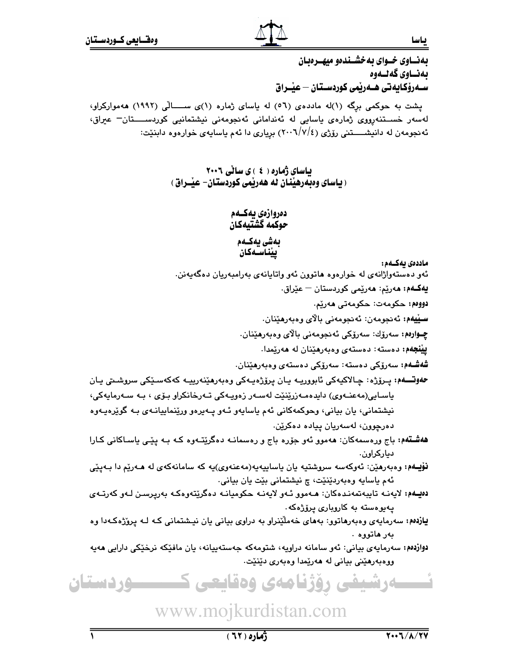بهنساوي خسواي به خشسندهو ميهسرهبان بەنساوي گەنسەوە سـەرۆكـايەتى ھــەرێمى كوردسـتـان — عيــراق

یشت به حوکمی برگه (۱)له ماددهی (٥٦) له یاسای ژماره (۱)ی ســـالّی (١٩٩٢) ههموارکراو، لەسەر خسىـتنەرووى ژمارەى ياسايى لە ئەندامانى ئەنجومەنى نيشتمانيى كوردســــتان<sup>ــ</sup> عيراق، ئهنجومهن له دانیشـــــتنی رۆژی (٢٠٠٦/٧/٤) بریاری دا ئهم یاسایهی خوارهوه دابنیّت:

> باسای ژُماره ( ٤ ) ی سانی ٢٠٠٦ ( پاسای وهېدرهينان له ههريمي کوردستان- عيــراق )

> > دەروازەي بەكــەم حوكمه گشتيهكان

#### بەشى يەكـەم ييناسـەكان

#### ماددەى ئەكــەم:

ياسا

ئەو دەستەواژانەي لە خوارەوە ھاتوون ئەو واتايانەي بەرامبەريان دەگەبەنن.

**يەكـەم: م**ەرێم: مەرێمى كوردستان – عێراق.

دوومم: حكومەت: حكومەتى ھەرێم.

سيْيەم: ئەنجومەن: ئەنجومەنى بالاي وەبەرھێنان.

چــوارەم: سەرۆك: سەرۆكى ئەنجومەنى بالاي وەبەرھێنان.

**ييْنجهم:** دەستە: دەستەي وەبەرھێنان لە ھەرێمدا.

شەشـەم: سەرۆكى دەستە: سەرۆكى دەستەي وەبەرمێنان.

**حەوتــــەم:** يــرۆژە: چـالاكيەكى ئابوورپــە يـان يرۆژەپــەكى وەبەرھێنەريپــە كەكەسـێكى سروشـىتى يـان باسايى(مەعنـەوي) دايدەمـەزرێنێت لەسـەر زەويـەكى تـەرخانكراو بـۆي ، بـە سـەرمايەكى، نیشتمانی، یان بیانی، وحوکمهکانی ئهم یاسایهو ئـهو یـهیرهو ورێنماییانـهی بـه گوێرهيـهوه دەرچوون، لەسەريان ييادە دەكرێن.

ه**هشـتمه:** باج ورهسمهکان: ههموو ئهو جۆره باج و رهسمانـه دهگرێتـهوه کـه بـه یێـی یاسـاکانی کـارا دیار کر اون.

نۆپهم: وهبەرهێن: ئەوكەسە سروشتيە يان ياساييەيە(مەعنەوی)يە كە سامانەكەی لە ھـەرێم دا بـەيێى ئهم ياسايه وەبەردێنێت، چ نيشتماني بێت يان بياني.

دەيلەم: لايەنبە تايبەتمەنىدەكان: ھــەمور ئــەر لايەنـە حكوميانـه دەگريتەرەكـه بەريرسىن لـەر كەرتــەي يەيوەستە بە كاروپارى پرۆژەكە.

یازدهم: سهرمایهی وهبهرهاتوو: بههای خهملٌینراو به دراوی بیانی یان نیشتمانی کـه لـه پروٌژهکـهدا وه بەر ھاتوۋە .

دوازدهم: سەرمايەي بيانى: ئەو سامانە دراويە، شتومەكە جەستەييانە، يان مافێكە نرخێكى دارايى ھەيە ووهبەرھێنى بيانى لە ھەرێمدا وەبەرى دێنێت.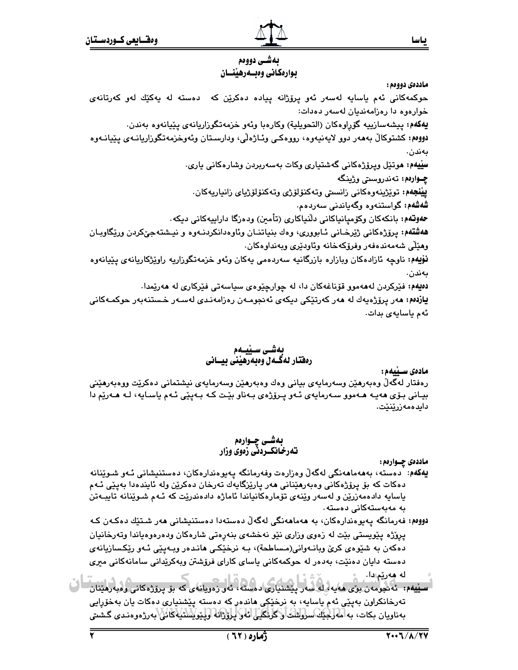ىاسا

يەشى دووەم بوارهكاني وهبسهرهينسان

#### ماددەي دووەم :

حوکمهکانی ئهم یاسایه لهسهر ئهو پرۆژانه پیاده دهکریْن که دهسته له یهکیّك لهو کهرتانهی خوارەوە دا رەزامەنديان لەسەر دەدات: يهكهم: پيشەسازييە گۆرِاوەكان (التحويلية) وكارەبا وئەو خزمەتگوزاريانەي پێيانەوە بەندن. دووەم: كشتوكالْ بەھەر دوو لايەنىيەوە، رووەكـي وئــاژەلْي، ودارسـتان وئەوخزمەتگوزاريانــەي پێيانــەوە بەندن. سِیْیهم: موتیّل وپرۆژەكانی گەشتیاری وكات بەسەربردن وشارەكانی ياری. **چــوارەم:** تەندروسىتى وژينگە **ييْنجِهم: ت**وێژينەوەكانى زانستى وتەكنۆلۆژى وتەكنۆلۆژياي زانياريەكان. شەشەم: گواستنەوە وگەياندنى سەردەم. حەوتەم: بانكەكان وكۆميانياكانى دلنياكارى (تأمين) ودەرگا داراييەكانى ديكە . ههشتهم: پرۆژەكانى ژێرخـانى ئـابوورى، وەك بنياتنـان وئاوەدانكردنـەوە و نيـشتەجىٚكردن ورێگاوبـان وهێڵی شەمەندەڧەر وفرۆكەخانە وئاودێرى وبەنداوەكان. **نۆيەم:** ناوچە ئازادەكان وبازارە بازرگانيە سەردەمى يەكان وئەو خزمەتگوزاريە راوێژكاريانەي پێيانەوە ىەندن. دەيەم: فێرکردن لەمەمور قۆناغەکان دا، لە چوارچێوەي سياسەتى فێرکارى لە مەرێمدا. **يازەم: م**ەر پرۆژەپەك لە مەر كەرت<u>ت</u>كى دېكەي ئەنجومـەن رەزامەنـدى لەسـەر خـستنەبەر حوكمـەكانى

ئەم ياسايەي بدات.

# بەشى سىيىەم رهفتار لهگــه ل وهبه رهيني بيـــاني

#### مادەى ســێيەم :

رەفتار لەگەڵ وەبەرھێن وسەرمايەي بيانى وەك وەبەرھێن وسەرمايەي نيشتمانى دەكرێت ووەبەرھێنى بياني بـۆي هەپـه هــهموو ســهرمايەي ئـهو پـرۆژەي بـهناو بێت كـه بـهيێي ئـهم ياسـايه، لـه هـهرێم دا دايدەمەزرێنێت.

# بەشــى چــوارەم<br>تەرخـانكــردنى زەوي وزار

ماددهي چــوارهم:

- يەكەم: "دەستە، بەھەماھەنگى لەگەلْ وەزارەت وفەرمانگە پەيوەندارەكان، دەستنيشانى ئـەو شـوێنانە دەكات كە بۆ يرۆژەكانى وەبەرھێنانى ھەر يارێزگايەك تەرخان دەكرێن ولە ئايندەدا بەيێى ئـﻪم پاسايه دادهمەزرێن و لەسەر وێنەی تۆمارەكانياندا ئاماژە دادەندرێت كە ئـەم شىوێنانە تايبـەتن بە مەبەستەكانى دەستە.
- دووەم: فەرمانگە يەيوەندارەكان، بە ھەماھەنگى لەگەلّ دەستەدا دەستنيشانى ھەر شىتێك دەكـەن كـە پروّژه پێویستی بێت له زەوی وزاری نێو نەخشەی بنەرەتی شارەکان ودەرەوەياندا وتەرخانیان دهکەن بە شێوەي کرێ وبانـەوانى(مـساطحة)، بـە نرخێکـي ھانـدەر وبـەيێي ئـەو رێکـسازيانەي دەستە دايان دەنێت، بەدەر لە حوكمەكانى ياساي كاراي فرۆشتن وبەكرێدانى سامانەكانى مىرى له مەرپىدا.
- سييهم: ئەنجومەن بۆى ھەيەرلە سەر پيشنيارى دەستە، ئەر زەريانەى كە بۆ پرۆژەكانى وەبەرمينان كې تەرخانكراون بەيێى ئەم ياسايە، بە نرخێؼى ھاندەر كە دەستە يێشنيارى دەكات يان بەخۆرايى بەناويان بكات، بە مەرجتك سروشت وگرنگيى ئەر پرۆژانە وپتوپشتىيەكائى بەرزەوەندى گىشتى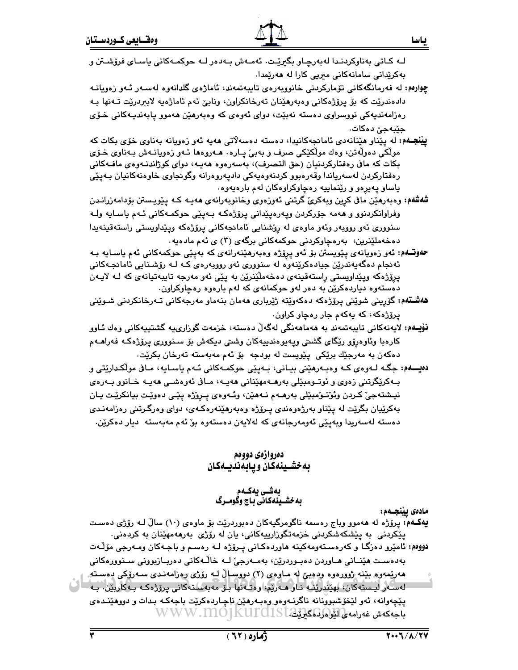- **چوارەم:** لە ڧەرمانگەكانى تۆماركردنى خانووبەرەي تايبەتمەند، ئاماژەي گلدانەوە لەسـەر ئـەو زەويانـە دادەندرێت كە بۆ يرۆژەكانى وەبەرھێنان تەرخانكراون، ونابىّ ئەم ئاماژەيە لابېردرێت تـەنھا بـە رەزامەنديەكى نووسراوى دەستە نەبێت، دواى ئەوەي كە وەبەرھێن ھەموو يابەنديـەكانى خـۆى حٽبه جيَ ده کات.
- **يينجـهم: ل**ه يَيْناو هَيْنانەدى ئامانجەكانيدا، دەستە دەسەلاتى ھەپە ئەو زەويانە بەناوى خۆى بكات كە مولّکي دەولّەتن، وەك مولّکێکي صرف و بەبیٚ پـارە٠ ھـەروەھا ئـەو زەويانـەش بـەناوي خـۆي بكات كه مافي رەفتاركردنيان (حق التصرف)، بەسەرەوە ھەيــە، دواي كوژاندنـەوەي مافــەكانى رەفتاركردن لەسەرياندا وقەرەبوو كردنەوەيەكى دادپەروەرانە وگونجاوى خاوەنەكانيان بـەپێى ياساو پهيرهو و ريٽماييه رهچاوکراوهکان لهم بارهيهوه.
- شەشەم: وەبەرھێن ماڧى كرِين وبەكرێ گرتنى ئەوزەوى وخانوبەرانەي ھەپـە كـە پێويـستن بۆدامەزرانـدن وفراوانکردنوو و ههمه جۆرکردن وپهرهپێداني پرۆژەکـه بـهپێي حوکمـهکاني ئـهم ياسـايه ولـه سنووري ئەو رووبەر وئەو ماوەي لە رۆشنايى ئامانجەكانى پرۆژەكە ويێداويستى راستەقينەيدا دەخەملێنرین، بەرەچاوكردنى حوكمەكانى برگەي (٣) ي ئەم مادەيە.
- **حەوتــەم:** ئەو زەويانەى پێويستن بۆ ئەو پرِۆژە وەبەرھێنەرانەى كە بەپێى حوكمەكانى ئەم ياسـايە بـە ئەنجام دەگەپەندرێن جيادەكرێنەوە لە سنوورى ئەو رووبەرەي كـە لـە رۆشـنايي ئامانجـەكانى پرِۆژەكە وپێداويستى راستەقىنەي دەخەملێنرێن بە پێى ئەو مەرجە تايبەتيانەي كە لـﻪ لايـﻪن دهستهوه دیاردهکرێِن به دهر لهو حوکمانهی که لهم بارهوه رهچاوکراون.
- ه**هشته**م: گۆرینی شوێنی پرۆژەكە دەكەوێتە ژێرباری ھەمان بنەماو مەرجەكانی تـەرخانكردنی شـوێنی یرۆژەكە، كە يەكەم جار رەچاو كراون.
- نۆيـەم: لايەنەكانى تايبەتمەند بە ھەماھەنگى لەگەلّ دەستە، خزمەت گوزارىيە گشتييەكانى وەك ئـاوو کارەبا وئاوەرۆو رێگای گشتی وپەيوەندىيەكان وشتى دىكەش بۆ سىنوورى پرۆژەكـە فەراھـەم دەكەن بە مەرجێك برێكى پێويست لە بودجە بۆ ئەم مەبەستە تەرخان بكرێت.
- دهیـــهم: جگـه لــهوهي کــه وهبـهرهێني بيــاني، بــهيێي حوکمــهکاني ئــهم ياســايه، مــاڧي موڵکـدارێتي و بـﻪﻛﺮێﮕﺮﺗﻨﻰ ﺯﻩﻭﻱ ﻭ ﺋﻮﺗـﻮﻣﺒێﻠﻰ ﺑﻪﺭﻫـﻪﻣﻬێﻨﺎﻧﻲ ﻫﻪﺑـﻪ، ﻣـﺎﻕ ﺋﻪﻭﻩﺷـﻲ ﻫﻪﺑـﻪ ﺧـﺎﻧﻮﻭ ﺑـﻪﺭﻩﻱ نيـشتهجيٰ کـردن وئوٽـوٽمبێلي بهرهــهم نــههێن، وئــهوهي پــروێژه پێـي دهوێـت بيانکرێـت ڀـان بهکرێپان بگرێت له پێناو بهرژهوهندي پــرۆژه وهبهرهێنهرهکـهی، دوای وهرگـرتنی رهزامهنـدی دەستە لەسەريدا وبەيێى ئەومەرجانەي كە لەلايەن دەستەوە بۆ ئەم مەبەستە ديار دەكرێن.

## دەروازەي دووەم به خشـينهكان ويـابهنديــهكان

# بەشـى يەكـەم<br>بەخشـينەكانى بـاج وگومــرگ

مادەى يێنجـەم:

یهکمه: پروّژه له ههموو وباج رهسمه ناگومرگیهکان دهبوردریّت بوّ ماوهی (۱۰) سالٌ لـه روّژی دهست پێکردنی به پێشکەشکردنی خزمەتگوزارىيەکانى، يان لە رۆژى بەرھەمھێنان بە کردەنى. دووم،: ئامێرو دەزگـا و كەرەسـتەومەكينە ھاوردەكـانى يـرۆژە لـە رەسـم و باجـەكان ومـەرجى مۆڵـەت بەدەست ھێنــانى ھــاوردن دەبـوردرێن، بەمــەرجێ لــە خاڵـەكانى دەربــازبوونى ســنوورەكانى هەريمەوھ بينه ژوورەوە ودەيئ له مـاوەی (٢) دووسالٌ لـه رۆژ*ی ژ*وزامەنـدی سـەرۆکى دەسـتە. لەسەر ليستەكان، بهيندريت نـاو ھـەريم، وەتـەئھا بـۆ مەبەستەكانى پرزژەكـە بـەكاربين. بـە $\Box$ يێڇەوانە، ئەو لێڂۆشبوونانە ناگرنـﻪوەو وەبـﻪرھێن ناچـاردەكرێت باجەكـﻪ بـدات و دووھێنـدەي باجەكەش غەرامەلى لىشى(مۇنىكىڭWWW.MO]KUIGIST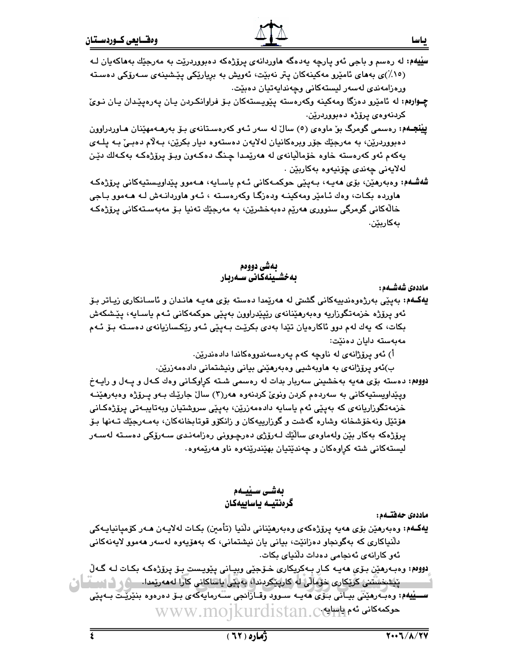- **سِڀْيهم:** له رەسم و باجي ئەو يارچە يەدەگە ھاوردانەي پرۆژەكە دەبووردرێت بە مەرجێك بەھاكەيان لـﻪ (١٥٪)ی بههای ئامیرو مەكىنەكان يتر نەبیّت، ئەويش بە برياریکی يیّشینەی سەرۆکی دەستە ورەزامەندى لەسەر ليستەكانى وجەندايەتيان دەبێت.
- چـوارهم: له ئامێرو دهزگا ومهکینه وکهرهسته یێویستهکان بـوّ فراوانکـردن یـان یـهرهیێـدان یـان نـویّ کردنەوەي يرۆژە دەبووردرێن.
- **یینجـهم:** رەسمی گومرگ بۆ ماوەی (٥) سالٌ له سەر ئـهو كەرەسـتانەی بـۆ بەرھـەمھێنان ھـاوردراوون دەبووردرێن، به مەرجێك جۆر ويرەكانيان لەلايەن دەستەوە ديار بكرێن، بـﻪلام دەبـێ بـﻪ پلـﻪي يەكەم ئەو كەرەستە خاوە خۆماليانەي لە ھەرپمدا چنگ دەكـەون وبىۆ پرۆژەكـە بەكـەلك دێن لەلايەنى چەن*دى چۆ*نيەوە بەكاربێن .
- شەشـەم: وەبەرمێن، بۆی مەيـە، بـەيێى حوكمـەكانى ئـەم ياسـايە، مـەموو يێداويـستيەكانى يرۆژەكـە هاورده بکـات، وهك ئـامێر ومهکينـه ودهزگـا وکهرهسـته ، ئـهو هاوردانـهش لـه هـهموو بـاجي خالّەكانى گومرگى سنوورى مەرێم دەبەخشرێن، بە مەرجێك تەنيا بـۆ مەبەسـتەكانى پرۆژەكـە بەكارىٽن.

# ىمشى دوومم بەخشىينەكانى سىەربار

ماددەى شەشــەم :

**يەكــە**م: بەيێى بەرژەوەندىيەكانى گشتى لە ھەرێمدا دەستە بۆى ھەيـە ھانـدان و ئاسـانكارى زيـاتر بـۆ ئەو پرۆژە خزمەتگوزاريە وەبەرھێنانەي رێپێدراوون بەيێى حوكمەكانى ئـﻪم ياسـايە، پێشكەش بکات، که یهك لهم دوو ئاكارەیان تێدا بەدی بکرێت بـﻪیێی ئـﻪو رێکـسازیانەی دەسـتە بـۆ ئـﻪم مەبەستە دايان دەنێت:

اً) ئەو پرۆژانەي لە ناوچە كەم پەرەسەندووەكاندا دادەندرێن.

ب)ئەو پرۆژانەي بە ھاويەشىي وەبەرھێنى بيانى ونيشتمانى دادەمەزرێن.

دووهم: دهسته بۆی هەیە بەخشینی سەربار بدات له رەسمی شته کراوکـانی وەك كـەل و پـەل و راپـەخ وپێداويستيهکاني به سهردهم کردن ونوێ کردنهوه ههر(۳) سال جارێك بـهو پـرۆژه وهبهرهێنــه خزمەتگوزاريانەي كە بەيێى ئەم ياسايە دادەمەزرێن، بەيێى سروشتيان وبەتايبـەتى يرۆژەكـانى هۆتێل ونەخۆشخانە وشارە گەشت و گوزارييەكان و زانكۆو قوتابخانەكان، بەمـەرجێك تـﻪنها بـۆ پرۆژەكە بەكار بێن ولەماوەي ساڵێك لـەرۆژى دەرچـوونى رەزامەنـدى سـەرۆكى دەسـتە لەسـەر ليستهکاني شته کراوهکان و چەندێتيان بهێندرێنەوه ناو ھەرێمەوە.

> بەشى سىيىەم گرەنتيــه يـاسابيهكـان

ماددەي جەفتىەم:

- يهكـهم: وەبەرھێن بۆي ھەيە پرۆژەكەي وەبەرھێنانى دڵنيا (تأمىن) بكـات لەلاپـەن ھـەر كۆمپانياپـەكى دلّنياکاري که بهگوئجاو دهزانێت، بياني يان نيشتماني، که بههۆيەوه لەسەر ھەموو لايەنەکاني ئەو كارانەي ئەنجامى دەدات دلنياي بكات.
- ِ دووم: وهبەرهێن بۆی هەيـه كـار بـهكريكارى خـۆجێى وبيـانى پێويـست بـۆ پرۆژەكـه بكـات لـه گـهڵ **پَیشخشتنی کریکاری خزمآلی له کارپیکردندا، به پیّی یاساکانی کارا له مهریمدا. \_\_\_\_\_\_\_\_\_\_\_\_\_\_\_\_\_\_\_\_\_\_\_\_\_\_\_\_\_\_\_\_\_\_\_** سسيْلِيهُم: وەبەرھێێى بيـَانى بـُوّى ھەپــە سـوود وقــازانجى سـُـەرمايەكەي بــۆ دەرەوە بنێرێـت بــەپێى WWW.MOJkurdistan.ce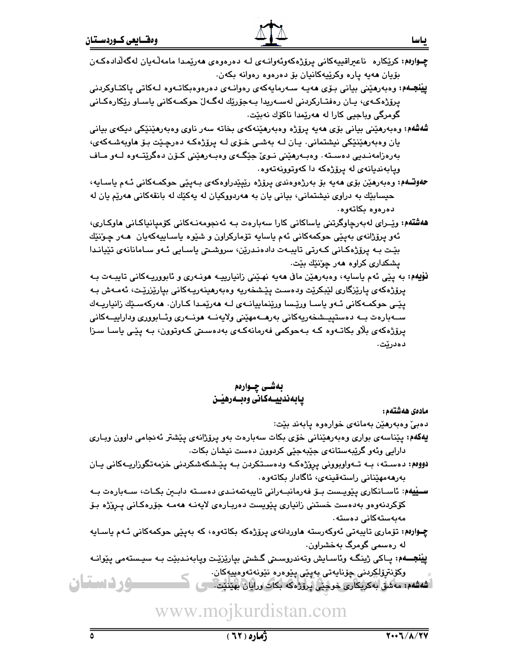**ييْنْجـُه**م: وەبەرھێنى بيانى بـۆي ھەيـە سـەرمايەكەي رەوانـەي دەرەوەبكاتـەوە لـەكاتى ياكتـاوكردنى پرۆژەكـەي، پـان رەڧتـاركردنى لەسـەرپدا بـەجۆرێك لەگـەلٚ حوكمـەكانى پاسـاو رێكارەكـانى گومرگي وياجيي کارا له هەرێمدا ناکۆك نەبێت٠

- شەشەم: وەبەرھێنى بيانى بۆي ھەيە يرۆژە وەبەرھێنەكەي بخاتە سەر ناوي وەبەرھێنێكى دىكەي بيانى يان وەبەرھێنێکی نیشتمانی. يـان لــه بەشـی خـۆی لــه پرۆژەکــه دەرچـێت بـۆ ھاوبەشــەکەی، بەرەزامەنىدىي دەسىتە. وەبـەرھێنى نـوێ جێگـەي وەبـەرھێنى كـۆن دەگرێتـەوە لـەو مـاف ويابهنديانهى له پرۆژەكه دا كەوتوونەتەوە.
- **حەوتــەم:** وەبەرھێن بۆی ھەيە بۆ بەرژەوەندى پرۆژە رێپێدراوەكەی بـەپێى حوكمـەكانى ئـەم ياسـايە، حيسابيّك به دراوي نيشتماني، بياني يان به هەردووكيان له يەكيّك له بانقەكانى هەريّم يان له دەرەوە بكاتەوە.
- هەشتەم: وێرای لەبەرچاوگرتنی ياساكانی كارا سەبارەت بـه ئەنجومەنـەكانى كۆميانياكـانى ھاوكـارى، ئەو پرۆژانەي بەيێى حوكمەكانى ئەم ياسايە تۆماركراون و شێوە ياسـاييەكەيان ھـەر چـۆنێك بِيّت بـه پرۆژەكـانى كـەرتى تايبـەت دادەنـدريّن، سروشـتى ياسـايى ئـەو سـامانانەي تێيانـدا يشكداري كراوه هەر چۆنێك بێت.
- نۆپهم: به پێي ئهم ياسايه، وهبەرهێن مافى هەيە نهێني زانيارييـه هونــهري و ئابووريـهكاني تايبــهت بــه پرۆژەكەي پارێزگارى لێبكرێت ودەست پێشخەرپە وەبەرھینەرپـەكانى بيارێزرێت، ئەمـەش بـە پێی حوکمهکانی ئهو یاسا ورێسا ورێنماییانهی لـه ههرێمدا کـاران. ههرکهسێك زانیاریـهك ســەبارەت بــە دەستييــشخەريەكانى بەرھــەمھێنى ولايەنــە ھونــەرى وئــابوورى وداراييــەكانى پرۆژەكەي بلاو بكاتـەوە كـە بـەحوكمى فەرمانەكـەي بەدەسـتى كـەوتوون، بـە يێـى ياسـا سـزا دەدرێت.

# بەشى چـوارەم يابەندييــەكـانى وەبــەرھێــن

مادەى ھەشتەم:

دەبىؒ وەبەرھێن بەمانەي خوارەوە يابەند بێت:

- **يەكەم:** پێناسەي بوارى وەبەرھێنانى خۆي بكات سەبارەت بەو پرۆژانەي پێشتر ئەنجامى داوون ويـارى دارایی وئەو گرێبەستانەی جێبەجێی کردوون دەست نیشان بکات.
- دووەم: دەسـتە، بــه تــەواوبوونى پرِۆژەكــه ودەسـتكردن بــه پێـشكەشكردنى خزمەتگوزاريــەكانى يــان بەرھەمھێنانى راستەقىنەي، ئاگادار بكاتەوە.
- سىييەم: ئاسـانكارى پێويـست بــۆ فەرمانبــەرانى تايبەتمەنـدى دەسـتە دابــين بكـات، ســەبارەت بــە كۆكردنەوەو بەدەست خستنى زانيارى يێويست دەربـارەي لايەنــە ھەمــە جۆرەكـانى يــروزْە بـۆ مەيەستەكانى دەستە،
- چـوارهم: تۆماری تایبەتی ئەوكەرستە ھاوردانەی پرۆژەكە بكاتەوە، كە بەپێی حوكمەكانی ئـەم ياسـايە له رەسمى گومرگ بەخشراون.

**يينجــهم:** يــاكي ژينگـه وئاسـايش وتەندروسـتي گـشتي بيارێزێـت ويـابەنـدبێت بـه سيـستەمي يێوانـه وکۆنترۆلکردنى چۆناپەتى پەيئى يېرەرە نېرنەتەرەپپەكان. <u>مردستان</u> ه شەشەم: مەشق بەكرىكارى خوجيى پرۆژەكە بكات ورايان بهينيت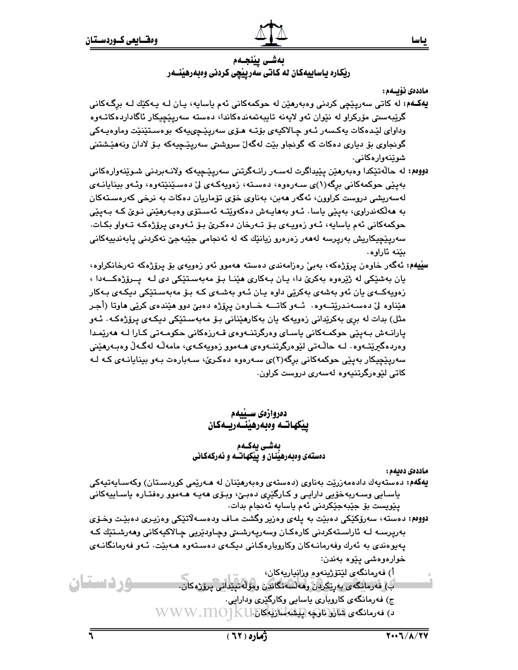بەشى يێنجـەم ریْکاره یاساییهکان له کاتی سهرییْچی کردنی وهبهرهیْنــهر

ماددەى نۆيسەم :

ياسا

- **يهکـهم:** له کاتي سهريٽِچي کردني وهٻهرهٽِن له حوکمهکاني نُهم باسابِه، بـان لـه بـهکٽِك لـه برگـهکاني گرێبەستى مۆركراو لە نێوان ئەو لايەنە تايبەتمەندەكاندا، دەستە سەريێچيكار ئاگاداردەكاتـەوە وداواي لٽدهکات بهکسهر ئـهو چـالاکيهي بۆتـه هـۆي سهرپٽـچييهکه بوهسـتێنێت وماوهيـهکي گونجاوي بۆ دياري دەكات كە گونجاو بێت لەگەلٚ سروشتى سەريێچيەكە بـۆ لادان ونەھێشتنى شوێنەوارەكانى.
- دووهم: له حالَّهتيکدا و.مورهيْن پێپداگرت لهسـهر رانـهگرتني سهرپيٽجيهکه ولانـهبردني شـوێنهوار.مکاني بەيێى حوكمەكانى برگە(١)ى سـەرەوە، دەسـتە، زەويەكـەي ليّ دەسـێنێتەوە، وئـەو بينايانـەي لەسەريشى دروست كراوون، ئەگەر ھەبن، بەناوى خۆي تۆماريان دەكات بە نرخى كەرەسـتەكان به ھەلكەندراوي، بەيێى ياسا. ئـەو بەھاپـەش دەكەوپتـە ئەسـتۆي وەبـەرھێنى نـوێ كـە بـەيێى حوکمهکانی ئهم ياسايه، ئـهو زەويـهى بـۆ تـهرخان دەکـرێ بـۆ ئـهوەي پرۆژەکـه تـهواو بکـات. سەريٽچيكاريش بەرپرسە لەھەر زەرەرو زيانٽِك كە لە ئەنجامى جێبەجێ نەكردنى يابەندىيەكانى بێنه ئاراوه.
- **سیّیهم: ئ**ەگەر خاوەن يرۆژەكە، بەبىّ رەزامەندى دەستە ھەموو ئەو زەويەى بۆ يرۆژەكە تەرخانكراوە، يان بەشێکى لە ژێرەوە بەکرێ دا، يـان بـەکارى ھێنـا بـۆ مەبەسـتێکى دى لـە يــرۆژەکـــەدا ، زەويەكــەي يان ئەو بەشەي بەكرێى داوە يـان ئـەو بەشـەي كـە بـۆ مەبەسـتێكى دېكـەي بـەكار هێناوه لێ دەسـﻪنـدرێتــﻪوه٠ ئــﻪو کاتـــﻪ خــاوەن پرێژه دەبێ دوو هێندەی کرێی هاوتا (أجـر مثل) بدات له بري بهکريداني زەويەکە يان بەکارھێناني بۆ مەبەسـتێکي دېکـەي پرۆژەکـە. ئـەو پارانــهش بــهيێي حوکمــهکاني پاســاي وهرگرتنــهوهي قــهرزهکاني حکومــهتي کــارا لــه ههرێمـدا وەردەگىرێتـﻪوە٠ لـﻪ حاڵـﻪتى لێوەرگرتنـﻪوەي ھـﻪموو زەويەكـﻪي، مامەڵـﻪ لەگـﻪڵ وەبـﻪرھێنى سەريێچيكار بەيێى حوكمەكانى برگە(٢)ى سـەرەوە دەكـرێ، سـەبارەت بـەو بېنايانـەى كـە لـە کاتي لٽوهرگرتنيهوه لهسهري دروست کراون.

# دەروازەي سىيىدم ييكهاتــه وهبهرهينــّـهريــهكان

## بەشى يەكــەم دهستهي وهبهرهيِّنان وآييِّكهاتـُـه و ئهركهكاني

ماددەى دەبەم :

- **يەكەم:** دەستەپەك دادەمەزرێت بەناوى (دەستەى وەبەرھێنان لە ھـەرێمى كوردسـتان) وكەسـاپەتپەكى ياسـايي وسـەربەخۆيي دارايـي و كـارگێرِي دەبـێ، وبـۆی ھەيـە ھـﻪموو رەڧتـارە ياسـاييەكانى يێوپست بۆ جێبەجێکردنى ئەم ياسايە ئەنجام بدات.
- دووهم: دهسته، سەرۆكێكى دەبێت بە يلەي وەزير وگشت مـاف ودەسـەلاتێكى وەزيـرى دەبێت وخـۆي بەرپرسـﻪ ﻟـﻪ ﺋﺎﺭﺍﺳـﺘﻪﻛﺮﺩﻧﻲ ﻛﺎﺭﻩﻛـﺎﻥ ﻭﺳﻪﺭﭘﻪﺭﺷﯩﺘﻰ ﻭﭼـﺎﻭﺩێﺮﻳﻰ ﭼـﺎﻻﻛﻴﻪﻛﺎﻧﻰ ﻭﻫﻪﺭﺷـﺘێﻚ ﻛـﻪ پەيوەندى بە ئەرك وفەرمانـەكان وكاروبارەكـانى دېكـەي دەسـتەوە ھـەبێت. ئـەو فەرمانگانـەي خوارەوەشى يێوە بەندن: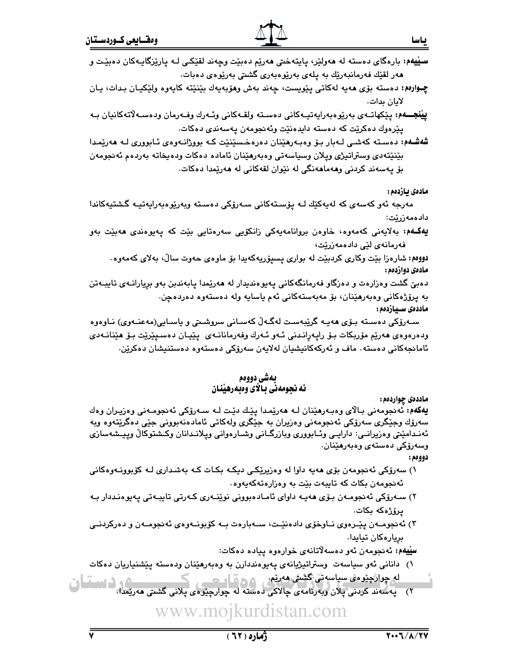چـوارەم: دەستە بۆي ھەيە لەكاتى يێويست، چەند بەش وھۆبەيەك بێنێتە كايەوە ولێكيـان بـدات، يـان لابان بدات.

**ييْنجـــهم:** يێكهاتــهي بەرێوەبەرايەتپــەكانى دەسـتە ولقــەكانى وئــەرك وفــەرمان ودەســەلاتەكانيان بــه پێرەوك دەكرێت كە دەستە دايدەنێت وئەنجومەن يەسەندى دەكات.

شەشـەم: دەسـتە كەشـى لـەبار بـۆ وەبـەرھێنان دەرەخـسێنێت كـە بووژانـەوەى ئـابوورى لـە ھەرێمـدا بێنێتەدى وستراتيژي وپلان وسياسەتى وەبەرھێنان ئامادە دەكات ودەيخاتە بەردەم ئەنجومەن بۆ يەسەند كردنى وھەماھەنگى لە نێوان لقەكانى لە ھەرێمدا دەكات.

مادەى يازدەم :

مەرجە ئەو كەسەي كە لەپەكێك لـە يۆسـتەكانى سـەرۆكى دەسـتە وبەرێوەبەراپەتپـە گـشتپەكاندا دادەمەزرێت:

**يەكـەم:** بەلايەنى كەمەوە، خاوەن بروانامەيەكى زانكۆيى سەرەتايى بێت كە پەيوەندى ھەبێت بەو فەرمانەي لێے دادەمەزرێت،

دووهم: شارهزا بێت وکاری کردبێت له بواری پسپۆرپەکەيدا بۆ ماوەی حەوت سالٌ، بەلای کەمەوە. مادەي دوازدەم :

دهبيّ گشت وهزارهت و دهزگاو فهرمانگهکاني پهپوهنديدار له ههرپيمدا پابهندبن بهو بريارانــهي تايبــهتن به پرۆژەكانى وەبەرھێنان، بۆ مەبەستەكانى ئەم ياسايە ولە دەستەوە دەردەچن. ماددەى سـيازدەم :

سـەرۆكى دەسـتە بـۆى ھەپـە گرێبەسـت لەگـەڵ كەسـانى سروشـتى و ياسـايى(مەعنـەوى) نـاوەوە ودەرەوەي ھەرپم مۆربكات بىۆ رايەرانىدنى ئـەو ئـەرك وفەرمانانـەي يێيـان دەسـيێرێت بىۆ ھێنانـەدى ئامانجەكانى دەستە٠ ماف و ئەركەكانيشيان لەلايەن سەرۆكى دەستەوە دەستنيشان دەكرێن.

## بەشى دووەم ئه نجومهني بـالأي وهبهرهينان

ماددهۍ چواردهم :

**يەكەم:** ئەنجومەنى بالاي وەبەرھێنان لـﻪ ھەرێمدا پێك دێت لـﻪ سـﻪرۆكى ئەنجومـﻪنى وەزيـران وەك سەرۆك وجٽگري سەرۆكى ئەنجومەنى وەزيران بە جٽگرى ولەكاتى ئامادەنەبوونى جٽى دەگرێتەوە وبە ئەنـدامێتي وەزيرانــي: دارايــي وئــابووري وبازرگــانى وشــارەوانى وپـلانــدانان وكـشتوكالْ وپـيـشەسازى وسەرۆكى دەستەي وەبەرھێنان.

دوومم:

- ۱) سەرۆكى ئەنجومەن بۆي ھەيە داوا لە وەزيرێكى دېكە بكات كە بەشدارى لـە كۆبوونـەوەكانى ئەنجومەن بكات كە تايبەت بێت بە وەزارەتەكەپەوە.
- ۲) سـﻪرۆكى ئەنجومـﻪن بـۆى ھەيـﻪ داواى ئامـادەبوونى نوێنـﻪرى كـﻪرتى تايبـﻪتى يەيوەنـددار بـﻪ پرۆژەكە بكات.
- ۳) ئەنجومــەن پێــرەوى نــاوخۆى دادەنێـت، ســەبارەت بــە كۆبونــەوەى ئەنجومــەن و دەركردنــى بريارەكان تيايدا.

سليلهم: ئەنجومەن ئەو دەسەلاتانەي خوارەوە ييادە دەكات:

۱) دانانی ئەو سیاسەت وستراتیژیانەی پەیوەنددارن بە وەبەرھێنان ودەستە پێشنیاریان دەكات

<u>له چوائچنومی سپاسوتی کشتی مەرتەر پر در قامت پر ک</u> ۲) په سهند کردنی پلان وبه رئامهی چالاکی دهسته له چوارچێوهی پلانی گشتی ههریمدا.<br>۲) په سهند کردنی پلان وبه رئامهی چالاکی دهسته له چوارچێوهی پلانی گشتی ههریمدا.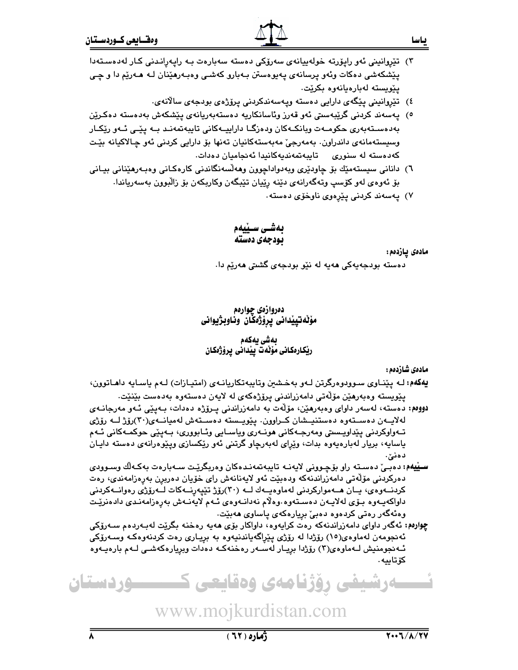- ٤) تێروانینی یێگەی دارایی دەستە وپەسەندكردنی یرۆژەی بودجەی سالانەی.
- ٥) يەسەند كردنى گرێبەسىتى ئەو قەرز وئاسانكاريە دەستەبەريانەي يێشكەش بەدەستە دەكـرێن بەدەسىتەبەرى حكومــەت وبانكــەكان ودەزگــا داراييــەكانى تايبەتمەنـد بــە پێـى ئــەو رێكــار وسيستەمانەي داندراون. بەمەرجىؒ مەبەستەكانيان تەنھا بۆ دارايى كردنى ئەو چالاكيانە بێت كەدەستە لە سنورى تايبەتمەنديەكانىدا ئەنجاميان دەدات.
- ٦) دانانی سیستەمیّك بۆ چاودیْری وبەدواداچوون وھەلّسەنگاندنی كارەكـانی وەبـەرھیّنانی بیـانی بۆ ئەوەي لەو كۆسپ وتەگەرانەي دێنە رێڀان تێبگەن وكاربكەن بۆ زاڵبوون بەسەرياندا.
	- ۷) پەسەند كردنى يێرەوي ناوخۆي دەستە.

بەشـى سـێيەم بودجهى دەستە

مادەى يازدەم:

دەستە بودجەيەكى ھەيە لە نێو بودجەی گشتى ھەرێم دا.

دەروازەي جوارەم مۆلەتپيدانى پرۆژەكان وناوبژيوانى

## ىەشى بەكەم ريْكارەكانى مۆلەت يِيْدانى پرۆژەكان

مادەى شازدەم :

يهکهم: لــه يـێنــاوي ســوودوهرگرتن لــهو بهـخـشين وتايبـهتکاريانــهي (امتيــازات) لــهم ياســايه داهــاتوون، يێويسته وەبەرھێن مۆڵەتى دامەزراندنى يرۆژەكەي لە لايەن دەستەوە بەدەست بێنێت.

- دووم: دەستە، لەسەر داواي وەبەرھێن، مۆلّەت بە دامەزراندنى پىرۆژە دەدات، بـەپێى ئـەو مەرجانـەي لەلايــەن دەســتەوە دەستنيــشان كــراوون. يـێويــسته دەســتەش لەميانــەی(٣٠)رۆژ لــە رۆژی تـﻪﻭﺍﻭﮐﺮﺩﻧﻲ ﭘﻴ័ﺪﺍﻭﯾـﺴﯩﺘﻰ ﻭﻣﻪﺭﺟـﻪﮐﺎﻧﻰ ﻫﻮﻧـﻪﺭﻯ ﻭﻳﺎﺳـﺎﻳﻰ ﻭﺋـﺎﺑﻮﻭﺭﻯ، ﺑـﻪﭘﻴّﻰ ﺣﻮﮐﻤـﻪﮐﺎﻧﻰ ﺋـﻪﻡ ياسايه، بريار لەبارەيەوە بدات، وێڕاى لەبەرچاو گرتنى ئەو رێکسازى وپێوەرانەى دەستە دايـان دەنىّ.
- سـێيهم: دەبـێ دەسـتە راو بۆچـوونى لايەنــە تايبەتمەنـدەكان وەربگرێـت ســەبارەت بەكـەلّك وسـوودى دەركردنى مۆلّەتى دامەزراندنەكە ودەبێت ئەو لايەنانەش راي خۆيان دەربرن بەرەزامەندى، رەت کردنـــەوەی، يــان ھـــەموارکردنى لەماوەيــەك لـــە (٣٠)رۆژ تێيەرنـــەكات لـــەرۆژى رەوانــەکردنى داواكەيـەوە بـۆى لەلايـەن دەسـتەوە وەلاّم نەدانـەوەي ئـەم لايەنـەش بەرەزامەنـدى دادەنرێـت وەئەگەر رەتى كردەوە دەبىؒ بريارەكەى ياساوى ھەبێت٠
- چوارهم: ئەگەر داواي دامەزراندنەكە رەت كرايەوە، داواكار بۆي ھەيە رەخنە بگرێت لەبـەردەم سـەرۆكى ئەنجومەن لەماوەي(١٥) رۆژدا لە رۆژى يێراگەياندنيەوە بە بريـارى رەت كردنەوەكـە وسـەرۆكى ئـهنجومنيش لـهماوهى(٣) رۆژدا بږيـار لهسـهر رهخنهكـه دهدات وبږيارهكهشـى لـهم بارهيـهوه كۆتاىيە.

ےرشیفی رؤژنامەی وەقايعى ك <u>سوردستان</u>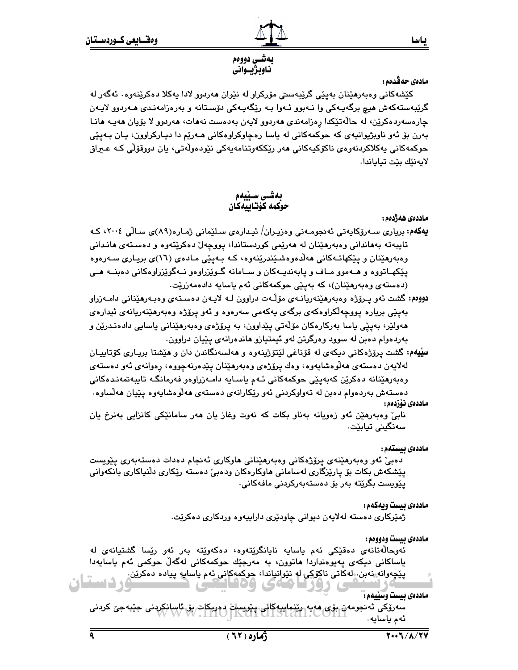#### ىـاسـا

#### بەشى دووەم ناوبژيــواني

# مادەي حەڤدەم :

کێشهکانی وهېەرهێنان بەيێی گرێبەسىتى مۆرکراو لە نێوان ھەردوو لادا يەکلا دەکرێنەوە. ئەگەر لە گرێبەستەكەش ھىچ برگەپـەكى وا نـەبوو ئـەوا بـە رێگەپـەكى دۆسـتانە و بەرەزامەنـدى ھـەردوو لايـەن چارەسەردەكرێن، لە حالّەتێكدا رەزامەندى ھەردوق لايەن بەدەست نەھات، ھەردوق لا بۆيان ھەيـە ھانـا بهرن بۆ ئەو ناوبژيوانيەي كە حوكمەكانى لە ياسا رەچاوكراوەكانى ھـەرێم دا ديـاركراوون، يـان بـەيێى حوکمەکانى يەكلاکردنەوەي ناكۆكيەكانى ھەر رێككەوتنامەيەكى نێودەوڵەتى، يان دووقۆڵى كـﻪ عـيراق لايەنێك بێت تياياندا.

> بەشى سىيەم حوكمه كۆتابيەكان

ماددەى ھەژدەم :

- **یەکەم:** بریاری سـەرۆکايەتی ئەنجومـەنی وەزیـران/ ئیـدارەی سـلێمانی ژمـارە(۸۹)ی سـالّی ۲۰۰۶، کـه تايبهته بههاندانی وهبهرهێنان له ههرێمی کوردستاندا، پووچهلٌ دهکرێتهوه و دهستهی هاندانی وهبەرهێنان و پێکهاتـﻪکانی هەڵدەوەشـێندرێنەوە، کـﻪ بـﻪپێی مـﺎدەی (١٦)ی بريـاری سـﻪرەوە پێکهـاتووه و هــهموو مــاف و پابهنديــهکان و ســامانه گــوێزراوهو نــهگوێزراوهکانی دهبنــه هــی (دەستەي وەبەرھێنان)، كە بەيێى حوكمەكانى ئەم ياسايە دادەمەزرێت.
- دووم،: گشت ئەو پېرۆژە وەپەرمێنەريانـەي مۆڵـەت دراوون لـە لاپـەن دەسـتەي وەپـەرمێنانى دامـەزراو بەيێى بريارە يووچەڵكراوەكەي برگەي يەكەمى سەرەوە و ئەو يرۆژە وەبەرھێنەريانەي ئيدارەي هەولێر، بەيێى ياسا بەركارەكان مۆڵەتى يێداوون، بە يرۆژەي وەبەرھێنانى ياسايى دادەنـدرێن و بهردهوام دهېن له سوود وهرگرتن لهو ئيمتيازو هاندهرانهي پێيان دراوون.
- **سيیهه:** گشت پرۆژەکانی دیکەی لە قۆناغی لێتۆژپنەوە و ھەلسەنگاندن دان و ھێشتا بریـاری کۆتاييـان لەلايەن دەستەي ھەلوەشايەوە، وەك يرۆژەي وەبەرھێنان يێدەرنەچووە، رەوانەي ئەو دەستەي وەبەرھێنانە دەكرێن كەبەپێى حوكمەكانى ئـﻪم ياسـايە دامـﻪزراوەو ڧەرمانگـﻪ تايبەتمەنـدەكانى دەستەش بەردەوام دەبن لە تەواوكردنى ئەو رێكارانەي دەستەي ھەلّۈەشايەوە يێيان ھەلّساوە٠ ماددەى ئۆزدەم :

نابيٌ وەبەرھێن ئەو زەويانە بەناو بكات كە نەوت وغاز يان ھەر سامانێكى كانزايى بەنرخ يان سەنگینى تيابێت.

#### ماددەى بيستەم :

دەبیؒ ئەو وەبەرھێنەی پرۆژەكانى وەبەرھێنانى ھاوكارى ئەنجام دەدات دەستەبەرى پێويست پێشکەش بکات بۆ پارێزگاری لەسامانی ھاوکارەکان ودەبیٚ دەستە رێکاری دڵنپاکاری بانکەوانی يێوپست بگرێتە بەر بۆ دەستەبەركردنى ماڧەكانى.

#### ماددهى بيست ويهكهم:

ژمێرکاری دهسته لهلایهن دیوانی چاودێری داراییهوه وردکاری دهکرێت.

 $Y \square Y$ 

ماددهى بيست ودوومم :

ئەوحالەتانەي دەقىيكى ئەم باسابە نابانگريتەوە، دەكەوپتە بەر ئەو ريسا گشتيانەي لە یاساکانی دیکهی پهیوهنداردا هاتوون، به مەرجێك حوکمەکانی لەگەڵ حوکمی ئەم یاسایەدا پێڇەوانە نەبن ِ لەكاتى ناكۆكى لە نێوانياندا، حوكمەكانى ئەم ياسايە پيادە دەكرێن. ردستان

ماددهى بيست وسييهم:

سەرۆكى ئەنجومەن بۆى ھەيە رىنماييەكانى. ينويسات دەرىكات بۆ ئاسانكردنى جىبەجى كردنى<br>ئەسساسلىە ئەم ياسايە.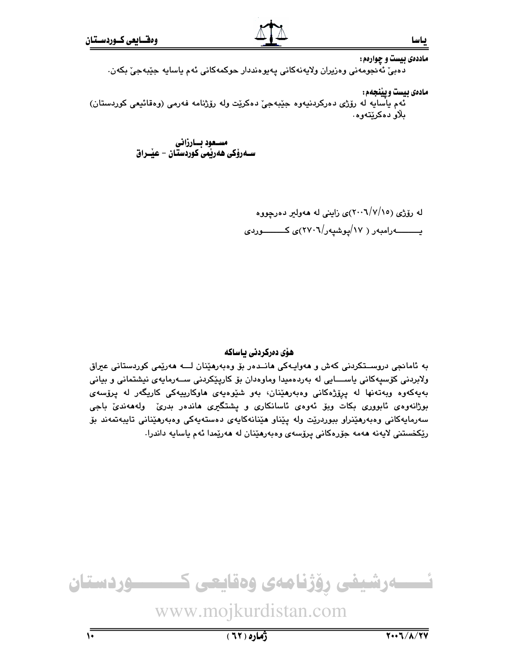ماددهی بیست و چوارهم: دەبيّ ئەنجومەنى وەزيران ولايەنەكانى يەيوەنددار حوكمەكانى ئەم ياسايە جێبەجيّ بكەن. مادهي بيست ويينجهم:

ئهم ياسايه له رۆژي دەركردنيەوە جێبەجى٘ دەكرێت وله رۆژنامە فەرمى (وەقائيعى كوردستان) بلاو دەكرێتەوە.

> مسعود بسارزاني ســهرۆكى ھەرپمى كوردستان – عيـْــراق

> > له رۆژى (٢٠٠٦/٧/١٥)ى زاينى له هەولير دەرچووە یسسسه رامبهر ( ۱۷/یوشیهر/۲۷۰۲)ی کسسسوردی

# ھۆی دەركردنى ياساكە

به ئامانجی دروســتکردنی کهش و هەواپــەکی هانــدەر بۆ وەبەرهێنان لــــه هەرێمی کوردستانی عیراق ولابردنی کۆسپەکانی یاســــایی له بەردەمیدا وماوەدان بۆ کارپێکردنی ســـەرمایەی نیشتمانی و بیانی بەيەكەوە وبەتەنھا لە پرۆژەكانى وەبەرھێنان، بەو شێوەيەى ھاوكارىيەكى كاريگەر لە پرۆسەى بوژانهوهی ئابووری بکات وبوّ ئهوهی ئاسانکاری و یشتگیری هاندهر بدریّ ولهههندیّ باجی سەرمايەكانى وەبەرھێنراو ببوردرێت ولە يێناو ھێنانەكايەي دەستەيەكى وەبەرھێنانى تايبەتمەند بۆ رێِکخستنی لایەنە ھەمە جۆرەکانی پرۆسەی وەبەرھێنان لە ھەرێمدا ئەم ياسايە داندرا.



www.mojkurdistan.com

 $(71)$ ٥)

 $\sqrt{2}$ 

ىياسا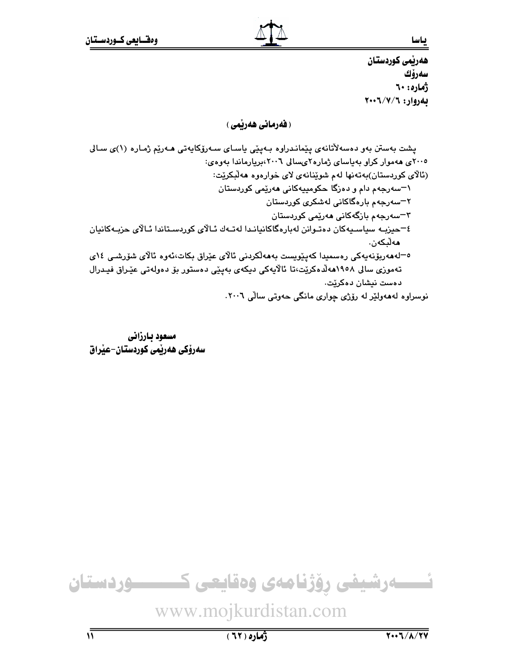هەرٽمى كوردستان سەرۆك ژماره: ٦٠ بهروار: ٢٠٠٦/٧/٦

# (**فەرمانى ھەرپمى** )

يشت بەستن بەو دەسەلاتانەي يێمانىدراوە بـەيێى ياسـاي سـەرۆكايەتى ھـەرێم ژمـارە (١)ى سـالى ۲۰۰۵ی ههموار کراو بهیاسای ژماره۲یسالی ۲۰۰٦،بریارماندا بهوهی: (ئالاي کوردستان)بهتهنها لهم شوێنانهي لاي خوارهوه ههلبکرێت: ۱–سهرجهم دام و دهزگا حکومییهکانی ههریمی کوردستان ۲−سەرجەم بارەگاكانى لەشكر*ى* كوردستان ۳–سەرجەم بازگەكانى مەرێمى كوردستان ٤–حيزيـه سياسـيەكان دەتـوانن لەبارەگاكانيانـدا لەتـەك ئـالاي كوردسـتاندا ئـالاي حزيـەكانيان ھەلىكەن. ە–لەھەربۆنەپەكى رەسمىدا كەيٽويست بەھەلكردنى ئالاي عێراق بكات،ئەوە ئالاي شۆرشى ١٤ي تەموزى سالى ١٩٥٨ھەلدەكريت،تا ئالايەكى ديكەي بەينى دەستور بۆ دەولەتى عيّراق فيـدرال دەست نېشان دەكرێت. نوسراوه لهههولێر له رۆژى چوارى مانگى حەوتى سالى ٢٠٠٦.

مسعود بارزاني سەرۆكى ھەربمى كوردستان–عيراق

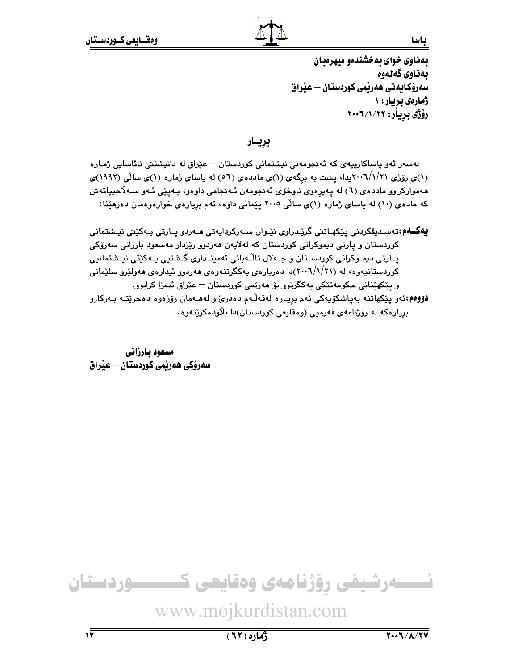بهذاوي خواي به خشندهو مبهرهبان بەناوى گەنەوە سەرۆكـايەتى ھەرپمى كوردستـان — عيراق ژمارەي بريار: ۱ رۆژى بريار: ٢٠٠٦/١/٢٠٠٢

بريـار

لەسەر ئەو ياساكارييەي كە ئەنجومەنى نيشتمانى كوردستان — عێراق لە دانيشتنى نائاسايى ژمـارە (۱)ی رۆژی ۲۰۰۱/۱/۲۱پیدا، پشت به برگهی (۱)ی ماددهی (۵٦) له پاسای ژماره (۱)ی سالْمی (۱۹۹۲)ی هەمواركراوو ماددەی (٦) له يەيرەوی ناوخۆی ئەنجومەن ئـەنجامى داوەو، بـەيێى ئـەو سـەلاّحيياتەش که مادهی (۱۰) له باسای ژماره (۱)ی سالّی ۲۰۰۵ پیّمانی داوه، ئهم برِیارهی خوارهوهمان دهرهیّنا:

**يەكــەم:**تەسـدېقكردنى يێكھـاتنى گرێـدراوى نێـوان سـەركردايەتى ھـەردو يـارتى يـەكێتى نيـشتمانى کوردستان و پارتی دیموکراتی کوردستان که لهلایهن ههردوو رێزدار مهسعود بارزانی سهرۆکی پــارتی دیمـوکراتی کوردسـتان و جــهلال تاڵـهبانی ئهمینـداری گــشتیی پــهکێتی نیــشتمانیی کوردستانیهوه، له (۲۰۰۷/۱/۲۱)دا دهربارهی یهکگرتنهوهی ههردوو ئیدارهی ههولێرو سلێمانی و پٽکهٽِناني حکومهتٽِکي پهکگرتوو بِۆ هەرێمي کوردستان — عێراق ئيمزا کرابوو. .<br>**دووهم:**ئەو يێكهاتنە بەياشكۆيەكى ئەم بريـارە لەقەلّـەم دەدرىّ و لەھـەمان رۆژەوە دەخرێتــە بـەركارو بریارهکه له رۆژنامهی فهرمیی (وهقایعی کوردستان)دا بلاودهکریتهوه.

مسعود بارزانى سەرۆكى ھەرپمى كوردستان — عيراق

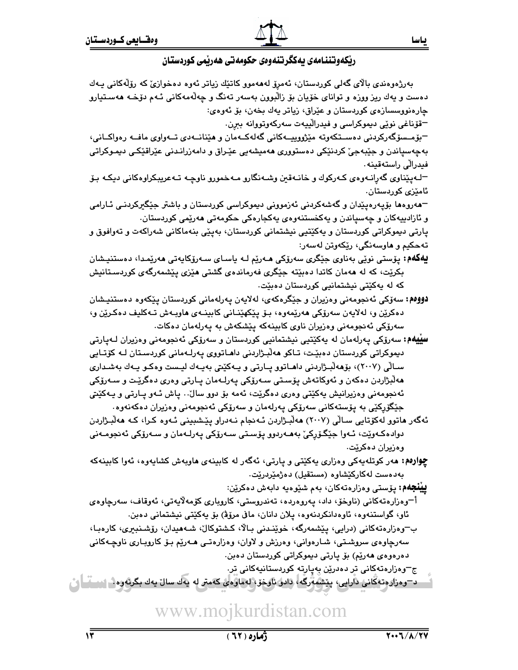

| بەرژەوەندى بالاى گەلى كوردستان، ئەمرِۆ لەھەموو كاتێك زياتر ئەوە دەخوازىٚ كە رۆلەكانى يـەك                                                         |
|---------------------------------------------------------------------------------------------------------------------------------------------------|
| دەست و يەك ريز ووزە و تواناى خۆيان بۆ زالْبوون بەسەر تەنگ و چەلّەمەكانى ئـەم دۆخـە ھەسـتيارو                                                      |
| چارەنووسسازەي كوردستان و عێراق، زياتر يەك بخەن، بۆ ئەوەي:                                                                                         |
| =قۆناغى نوێى دىيموكراسى و فيدراڵييەت سەركەوتووانە بېړن.                                                                                           |
| –بۆمـسۆگەركردنى دەســتكەوتە مێژووييــەكانى گەلەكــەمان و ھێنانــەدى تــەواوى مافــە رەواكــانى،                                                   |
| بهچهسپاندن و جێبهجێ کردنێکی دهستووری ههمیشهیی عێراق و دامهزرانـدنی عێراقێکی دیمـوکراتی                                                            |
| فيدرالّي راستەقينە .                                                                                                                              |
| −لـﻪپێناوی گەڕانـﻪوەی کـﻪرکوك و خانـﻪقین وشـﻪنگارو مـﻪخمورو ناوچـﻪ تـﻪعریبکراوەکانی دیکـﻪ بـۆ                                                     |
| ئام <u>ێ</u> زی کوردستان.                                                                                                                         |
| −هەروەھا بۆپەرەپێدان و گەشەكردنى ئەزموونى دىموكراسى كوردستان و باشتر جێگ <del>ى</del> ركردنـى ئــارامى                                            |
| و ئازادىيەكان و چەسپاندن و يەكخستنەوەي يەكجارەكى حكومەتى ھەرێمى كوردستان٠                                                                         |
| پارتی دیموکراتی کوردستان و یهکێتیی نیشتمانی کوردستان، بهپێی بنهماکانی شهراکهت و تهوافوق و                                                         |
| تەحكيم و ھاوسەنگى، رێِكەوتن لەسەر:                                                                                                                |
| <b>يەگەم:</b> پۆستى نوێى بەناوى جێگرى سەرۆكى ھـﻪرێم لـﻪ ياسـاى سـﻪرۆكايەتى ھەرێمـدا، دەستنيـشان                                                   |
| بکرێت، که له ههمان کاتدا دهبێته جێگری فهرماندهی گشتی هێزی پێشمهرگهی کوردسـتانیش                                                                   |
| که له یهکێتی نیشتمانیی کوردستان دهبێت.                                                                                                            |
| <b>دوومم:</b> سەۆكى ئەنجومەنى وەزيران و جێگرەكەى، لەلايەن پەرلەمانى كوردستان پێكەوە دەستنيـشان                                                    |
| دهکرێن و، لهلايەن سەرۆکى ھەرێمەوە، بىۆ پێکھێنـانى كابينــەي ھاوبـەش تـەكليف دەكـرێن و،                                                            |
| سەرۆكى ئەنجومەنى وەزيران ناوى كابينەكە پێشكەش بە پەرلەمان دەكات.                                                                                  |
| <b>سییهم:</b> سەرۆکى پەرلەمان لە يەكێتيى نیشتمانیى كوردستان و سەرۆکى ئەنجومەنى وەزیران لـﻪپارتى                                                   |
| دیموکراتی کوردستان دەبێت، تـاکو ھەڵبـژاردنی داھـاتووی پەرلـﻪمانی کوردسـتان لـﻪ کۆتـايی                                                            |
| ســالّی (۲۰۰۷)، بۆھەلّبــژاردنی داھــاتوو پــارتی و يــەکێتی بەيـەك ليــست وەكــو يــەك بەشـىداری                                                 |
| هەلّبژاردن دەكەن و ئەوكاتەش پۆسىتى سـەرۆكى پەرلـەمان پـارتى وەرى دەگرێت و سـەرۆكى                                                                 |
| ئهنجومهنی وهزیرانیش یهکێتی وهری دهگرێت، ئهمه بۆ دوو سالْ۰. پاش ئـهو پـارتی و یـهکێتی                                                              |
| جێگۆڕکێی به پۆستەکانی سەرۆکی پەرلەمان و سەرۆکی ئەنجومەنی وەزیران دەكەنەوە٠                                                                        |
| ئەگەر ماتوو لەكۆتايى سـالْى (٢٠٠٧) مەلْبـژاردن ئـەنجام نـەدراو پێـشبينى ئـەوە كـرا، كـە مەلْبـژاردن                                               |
| دوادەكـەوێت، ئـەوا جێگۆڕكێ بەھـەردوو پۆسـتى سـەرۆكى پەرلـەمان و سـەرۆكى ئەنجومـەنى                                                                |
| وهزيران دهكرێت.                                                                                                                                   |
| چوارهم: مهر کوتلهیهکی وهزاری یهکیّتی و پارتی، ئهگهر له کابینهی ماوبهش کشایهوه، ئهوا کابینهکه                                                      |
| بەدەست لەكاركێشاوە (مستقيل) دەژمێردرێت.                                                                                                           |
| <b>يينجهم:</b> پۆستى وەزارەتەكان، بەم شێوەيە دابەش دەكرێن:                                                                                        |
| أ¬وەزارەتەكانى (ناوخۆ، داد، پەروەردە، تەندروستى، كاروبارى كۆمەلايەتى، ئەوقاف، سەرچاوەى                                                            |
| ئاو، گواستنەوە، ئاوەدانكردنەوە، پلان دانان، مافى مرۆڨى بۆ يەكێتى نيشتمانى دەبن.                                                                   |
| ب-وەزارەتەكانى (درايى، پێشمەرگە، خوێنىدنى بالا، كشتوكال، شەھىدان، رۆشىنبىرى، كارەبا،                                                              |
| سەرچاوەي سروشتى، شـارەوانى، وەرزش و لاوان، وەزارەتـى ھـەرێم بـۆ كاروبـارى ناوچـەكانى                                                              |
| دەرەوەي ھەرێم) بۆ پارتى دىموكراتى كوردستان دەبن.                                                                                                  |
| $\mathbf{w} = \mathbf{w} \cdot \mathbf{w}$ and $\mathbf{w} = \mathbf{w} \cdot \mathbf{w}$ . The set of $\mathbf{w} = \mathbf{w} \cdot \mathbf{w}$ |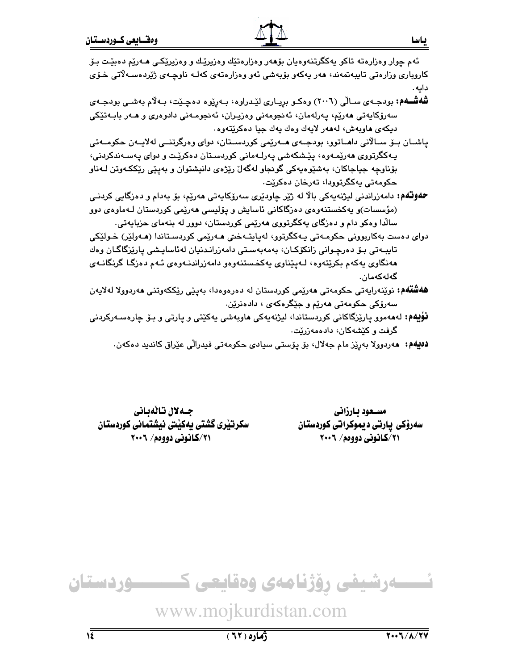- شهششهم: بودجهی سـالّی (۲۰۰٦) وهکـو بریـاری لیّدراوه، بـهرِیّوه دهچیّت، بـهلاّم بهشـی بودجـهی سەرۆكايەتى ھەرێم، يەرلەمان، ئەنجومەنى وەزيـران، ئەنجومـەنى دادوەرى و ھـەر بابـەتێكى ديكەي ھاويەش، لەھەر لايەك وەك يەك جيا دەكرێتەوە.
- پاشــان بــۆ ســالانى داھــاتوو، بودجــەی ھــەرێمى كوردســتان، دوای وەرگرتنــى لەلايــەن حكومــەتى پـهکگرتووي هەرێمـەوە، پێـشکەشى پـەرلـەمانى کوردسـتان دەکرێـت و دواي پـەسـەندکردنى، بۆناوچه جياجاکان، بەشێوەپەکى گونجاو لەگەلّ رێژەي دانيشتوان و بەيێى رێککەوتن لـﻪناو حکومهتي پهکگرتوويا، تهرخان دهکرٽت،
- **حەوتەم:** دامەزراندنى ليژنەپەكى بالا لە ژێر چاودێرى سەرۆكاپەتى ھەرێم، بۆ بەدام و دەزگايى كردنـى (مؤسسات)و پەكخستنەوەي دەزگاكانى ئاسايش و پۆلپسى ھەرپمى كوردستان لـەماوەي دوو سالدا وهکو دام و دهزگای پهکگرتووی هەرێمی کوردستان، دوور له بنهمای حزباپهتی.
- دوای دەست بەكاربورنى حكومـەتى يـەكگرتور، لەياپتـەختى مـەرێمى كوردسـتاندا (مـەولێر) خـولێكى تايبـەتى بـۆ دەرچـوانى زانكۆكـان، بەمەبەسـتى دامەزرانـدنيان لەئاسايـشى پارێزگاگـان وەك هەنگاوى يەكەم بكرێتەوە، لـەيێناوى يەكخستنەوەو دامەزراندنـەوەي ئـەم دەزگـا گرنگانـەي گەلەكەمان.
- **هەشتەم:** نوێنەرايەتى حكومەتى مەرێمى كوردستان لە دەرەوەدا، بەيێى رێككەوتنى مەردوولا لەلايەن سەرۆكى حكومەتى ھەرێم و جێگرەكەي ، دادەنرێن.
- **نۆیەم:** لەھەمور پارێزگاکانی کوردستاندا، لیژنەیەکی **م**اوبەشی یەکێتی و یارتی و بـۆ چارەسـەرکردنی گرفت و کێشهکان، دادهمهزرێِت.
	- **دەيەم: م**ەردوولا بەرێز مام جەلال، بۆ يۆستى سيادى حكومەتى فيدرالى عێراق كانديد دەكەن.

مستعود بارزاني سەرۆكى يارتى ديموكراتى كوردستان ۲۱/کانونی دووهم/ ۲۰۰٦

جـەلال تـالەيانى سكرتيري گشتي بهكيتي نيشتماني كوردستان ٢٠١/كانوني دووهم/ ٢٠٠٦

ـــــوردستان نسسه رشیفی رؤژنامهی وهقایعی ک

www.mojkurdistan.com

ياسا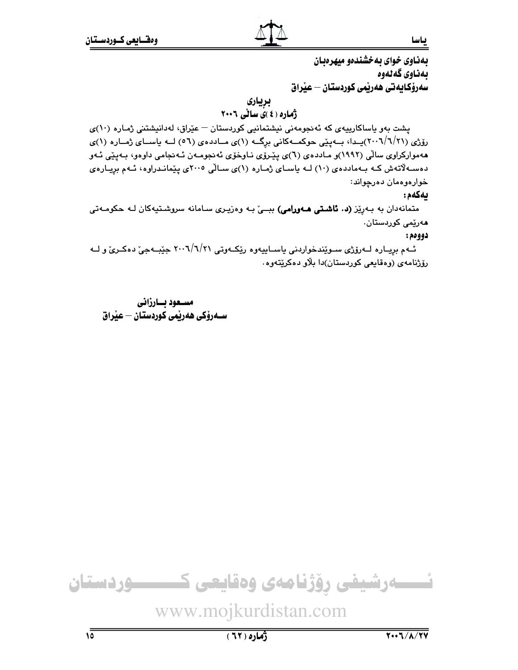بهذاوي خواي به خشندهو مبهرهبان بەناوى گەنەوە سەرۆكـايەتى ھەريمى كوردستـان — عيراق

بريارى

ژُهاره ( ٤ )ی سالی ۲۰۰٦

پشت بهو یاساکارییهی که ئهنجومهنی نیشتمانیی کوردستان - عیّراق، لهدانیشتنی ژماره (١٠)ی رۆژى (٢٠١/٦/٢١)يـدا، بـــه پێى حوكمـــهكانى برگـــه (١)ى مـــاددهى (٥٦) لـــه ياســـاى ژمــاره (١)ى ههموارکراوی سالّی (۱۹۹۲)و مـاددهی (٦)ی پیّروّی نـاوخوّی ئهنجومـهن ئـهنجامی داوهو، بـهپیّی ئـهو دهسه لاتهش کـه بـهماددهى (١٠) لـه ياسـاى ژمـاره (١)ى سـالّى ٢٠٠٥ى يێمانـدراوه، ئـهم بريـارهى خوارەوەمان دەرچواند:

## بهكهم:

ياسا

متمانهدان به بهریز (د. تاشتی ههورامی) ببــی به وهزیـری سـامانه سروشـتیهکان لـه حکومـهتی ھەرێمى كوردستان٠

#### دوومم:

ئــهم بريــاره لــهرۆژى ســوێندخواردنى ياســاييهوه رێِكــهوتى ٢٠٠٦/٦/٢١ جێبــهجىٚ دهكــرىٚ و لــه رۆژنامەي (وەقايعى كوردستان)دا بلاو دەكريتەوە

مسعود بسارزاني 

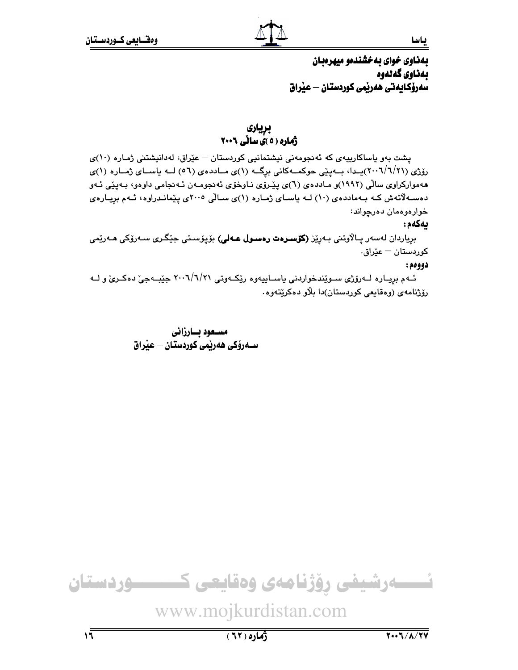# بهذاوي خواي به خشندهو ميهرهبان بەناوي گەنەوە سەرۆكايەتى ھەرپمى كوردستان — عيراق

# بريارى ژماره ( ٥ )ی سانی ٢٠٠٦

یشت بهو یاساکارییهی که ئهنجومهنی نیشتمانیی کوردستان – عیّراق، لهدانیشتنی ژماره (۱۰)ی رۆژى (٢٠١/٦/٢١)يىدا، بىەپێى حوكمىەكانى برِگە (١)ى مىاددەى (٥٦) لىە ياسىاى ژمىارە (١)ى ههموارکراوی سالّی (۱۹۹۲)و مـاددهی (٦)ی پێـرۆی نـاوخوّی ئهنجومـهن ئـهنجامی داوهو، بـهپێی ئـهو دهسه لاتهش کـه بـهماددهى (١٠) لـه ياسـاى ژمـاره (١)ى سـالّى ٢٠٠٥ى يێمانـدراوه، ئـهم بريـارهى خوارەوەمان دەرچواند:

### ىەكەم:

برياردان لەسەر پـالاّوتنى بـەرێز (**كۆسـرەت رەسـول عـەلى)** بۆپۆسـتى جێگـرى سـەرۆكى **م**ـەرێمى كوردستان — عێراق.

#### دووهم:

ئــهم بږيــاره لــهرۆژى ســوێندخواردنى ياســاييهوه رێِكــهوتى ٢٠٠٦/٦/٢١ جێبــهجىٚ دهكــرئ و لــه رۆژنامەي (وەقايعى كوردستان)دا بلاو دەكريتەوە.

> مستعود بسارزاني ســەرۆكى ھەرپمى كوردستان – عيراق

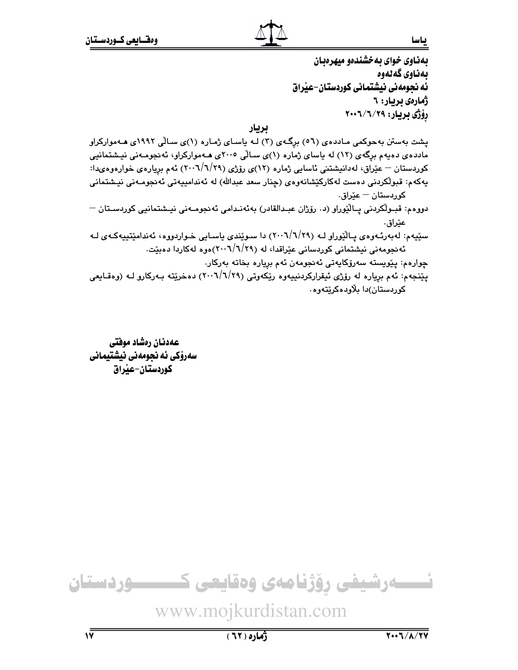بهذاوي خواي به خشندهو مبهرهبان بەناوى گەنەوە ئه نجومهنی نیشتمانی کوردستان–عیراق ژمارەي بريار: ٦ رۆژى بريار: ۲۰۰۹/۱/۲۰۰۲

بريار

پشت بهستن بهحوکمی مـاددهی (٥٦) برگـهی (٣) لـه پاسـای ژمـاره (١)ی سـالّی ١٩٩٢ی هـهموارکراو مادده ی دهیهم برگهی (۱۲) له یاسای ژماره (۱)ی سالی ۲۰۰۵ی هـهموارکراو، ئهنجومـهنی نیـشتمانیی کوردستان – عێراق، لەدانیشتنی ئاسایی ژمارە (۱۲)ی رۆژی (۲۹/۱/۱۹) ئەم بریارەی خوارەوەیدا: يەكەم: قبولكردنى دەست لەكاركێشانەوەي (چنار سعد عبدالله) لە ئەندامىيەتى ئەنجومـەنى نيـشتمانى كوردستان — عێراق. دووەم: قبـولْكردنى يـالْيُوراو (د. رۆژان عبـدالقادر) بەئەنـدامى ئەنجومـەنى نيـشتمانيى كوردسـتان —

عێراق٠ سێپهم: لهبهرئـهوهي پـاڵێوراو لـه (٢٠٠٦/٦/٢٩) دا سـوێندي پاسـايي خـواردووه، ئهندامێتپپهکـهي لـه ئهنجومهنی نیشتمانی کوردسانی عیّراقدا، له (۲۹/۲/۲۰۱)هوه لهکاردا دهبیّت.

چوارەم: يێويستە سەرۆكايەتى ئەنجومەن ئەم بريارە بخاتە بەركار.

يێنجهم: ئهم برياره له رۆژى ئيقراركردنييەوه رێكەوتى (٢٠٠٦/٦/٢٩) دەخرێتە بـﻪركارو لـﻪ (وەقـايعى کوردستان)دا بلاودهکریتهوه

عهدنان رهشاد موفتى سەرۆكى ئە نجومەنى نيشتيمانى كوردستان-عبراق

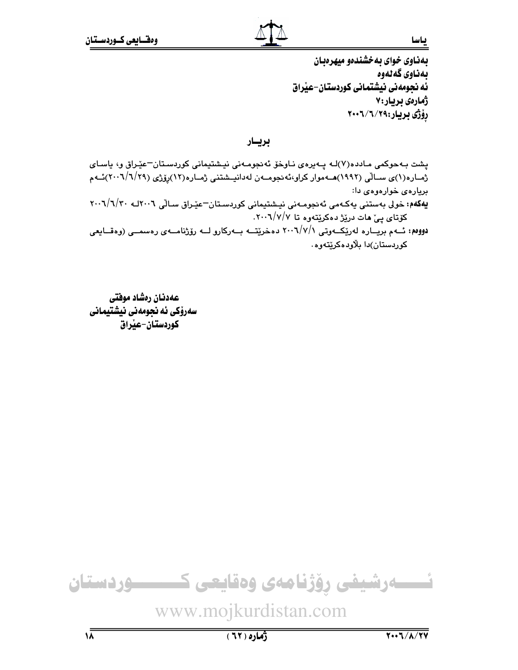بهذاوي خواي به خشندهو مبهر وبيان بەناوى گەنەوە ئه نجومهنی نیشتمانی کوردستان-عیراق ژمارەي بريار:٧ رۆژى بريار:۲۹/۷/۲۰۰۲

بريسار

پشت بـهحوکمی مـادده(۷)لـه پـهیرهی نـاوخۆ ئـهنجومـهنی نیـشتیمانی کوردسـتان–عیّـراق و، یاسـای ژمـاره(۱)ی سـالّی (۱۹۹۲)هــهموار کراو،ئەنجومــهن لهدانپــشتنی ژمـاره(۱۲)رۆژی (۲۰۰۹/۱/۲۹)ئــهم بريارهى خوارهوهى دا: یهکهم: خولی بهستنی یهکهمی ئه نجومـهنی نیـشتیمانی کوردسـتان−عیّـراق سـالّی ۲۰۰٦/۹/۲۰ به ۲۰۰۲/۱/۳۰ کۆتای ییّ هات دریزژ دهکریتهوه تا ۰۲۰۰٦/۷/۷ دووهم: ئــهم بریــاره لهریکــهوتی ۲۰۰٦/۷/۱ دهخریتــه بــهرکارو لــه رۆژنامــهى رهسمــى (وهقــایعى کوردستان)دا بلاودهکریتهوه٠

عهدنان رهشاد موفتى سەرۆكى ئە نجومەنى نيشتيمانى كوردستان-عبراق

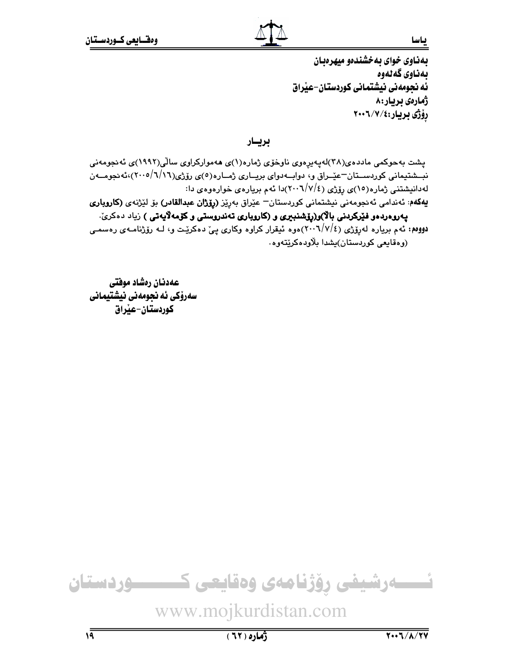بهناوي خواي به خشندهو مبهرهبان بەناوى گەنەوە ئه نجومهنی نیشتمانی کوردستان–عیراق ژمارەي بريار:٨ رۆژى بريار:٢٠٠٦/٧

بريسار

پشت بەحوکمی ماددەی(۳۸)لەپەيرەوی ناوخۆی ژمارە(۱)ی ھەموارکراوی سالّی(۱۹۹۲)ی ئەنجومەنی نبــشتیمانی کوردســتان-عیّــراق و، دوابــهدوای بریــاری ژمــاره(٥)ی رۆژی(٦/١/١)،۲۰۰۵)،ئهنجومــهن لهدانیشتنی ژماره(۱٥)ی رۆژی (۲۰۰۲/۷/٤)دا ئهم بریارهی خوارهوهی دا: یهکهم: ئەندامی ئەنجومەنی نیشتمانی کوردستان<sup>ــ</sup> عیّراق بەریّز (**رِیّژان عبدالقادر)** بۆ لیّژنەی (ک**اروباری** يەروەردەو فێركردنى بالا)و(رۆشنبىرى و (كاروپارى تەندروستى و كۆمەلايەتى ) زياد دەكرىّ.

دووهم: ئهم برياره لهرۆژي (٢٠٠٦/٧/٤)هوه ئيقرار كراوه وكاري يېّ دهكريّت و، لـه رۆژنامـهي رهسمـي (وهقايعي کوردستان)پشدا پلاودهکرٽتهوه.

عهدنان رهشاد موفتى سەرۆكى ئە نجومەنى نيشتيمانى كوردستان-عبراق



 $(71)$ ٥)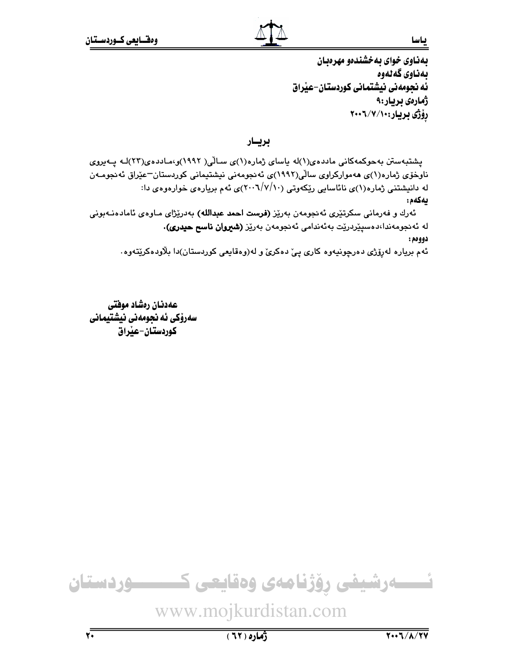بهناوي خواي به خشندهو مهر هدان بەناوى گەنەوە ئه نجومهنی نیشتمانی کوردستان-عیراق ژمارەي بريار:۹ رۆژى بريار:٠٠/٧/١٠٠

بريسار

یشتبهستن بهحوکمهکانی ماددهی(۱)له یاسای ژماره(۱)ی سالی( ۱۹۹۲)و،ماددهی(۲۲)له پـهیروی ناوخۆی ژمارە(۱)ی مەموارکراوی سالّی(۱۹۹۲)ی ئەنجومەنی نیشتیمانی کوردستان<sup>—</sup>عیّراق ئەنجومـەن له دانیشتنی ژماره(۱)ی نائاسایی ریکهوتی (۲۰۰۷/۷/۱۰)ی ئهم بریارهی خوارهوهی دا: يەكەم:

ئەرك و فەرمانى سكرتێرى ئەنجومەن بەرێز **(فرست احمد عبدالله)** بەدرێژاى مـاوەى ئامادەنـﻪبونى لە ئەنجومەندا،دەسىيىردريت بەئەندامى ئەنجومەن بەريز (شيروان ناسح حيدرى). دوومم:

ئهم برياره لهرۆژي دەرچونيەوە كارى يې دەكرىّ و لە(وەقايعى كوردستان)دا بلاّودەكرێتەوە.

عهدنان رەشاد موفتى سەرۆكى ئە نجومەنى نيشتيمانى كوردستان-عٽراق



www.mojkurdistan.com

 $\sqrt{1}$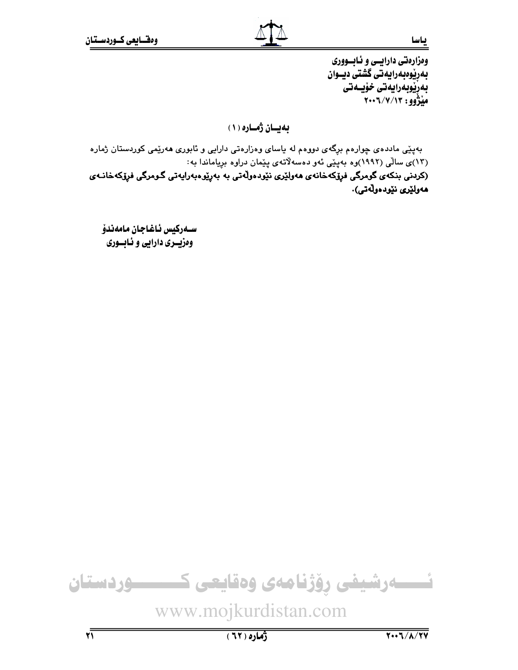وهزارهتي دارايسي و ئـابسووري بەرپوەبەرايەتى گشتى ديــوان بەرێوبەرايەتى خۆيسەتى مَيْژُوو: ۲۰۰٦/۷/۱۳

بهيان ژماره (١)

بهیێی ماددهی چوارهم برگهی دووهم له یاسای وهزارهتی دارایی و ئابوری ههریمی کوردستان ژماره (۱۳)ی سالّی (۱۹۹۲)وه بهپێی ئهو دهسهلاّتهی پێمان دراوه بریاماندا به:

(کردنی بنکەی گومرگی فړۆکەخانەی ھەولێری نێودەوڵەتی بە بەړێوەبەرايەتی گـومرگی فړۆکەخانـەی ھەولێرى نێودەوڵەتى).

ســەركيس ئـاغـاجـان مـامەندۆ وهزيسري دارايي و ئـابسـوري

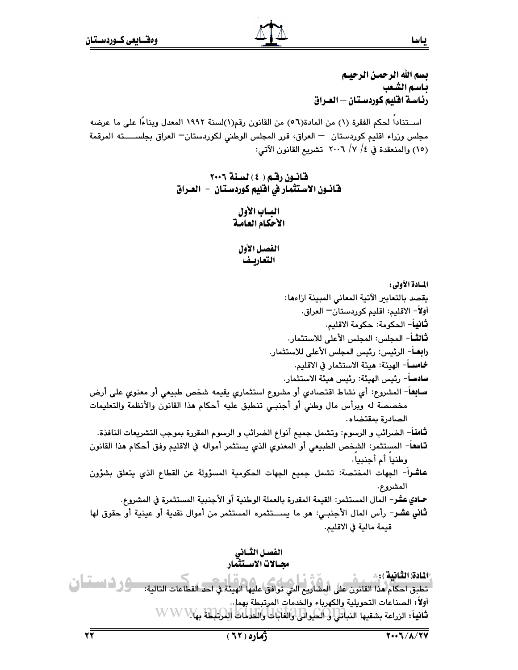بسم الله الرحمن الرحيـم ياسم الشّعب رئاسة اقليم كوردستان – العـراق

اســتنادا لحكم الفقرة (١) من المادة(٥٦) من القانون رقم(١)لسنة ١٩٩٢ المعدل وبناءًا على ما عرضه مجلس وزراء اقليم كوردستان - العراق، قرر المجلس الوطني لكوردستان- العراق بجلســــته المرقمة (١٥) والمنعقدة في ٤/ ٧/ ٢٠٠٦ تشريع القانون الآتي:

> قانون رقم ( ٤ ) لسنة ٢٠٠٦ قانــون الاسـتثمـار في اقليم كـوردسـتـان – الـعــراق

> > الهياب الأول الأحكام العامة

الفصل الأول التعاريف

المسادة الأولى: يقصد بالتعابير الآتية المعاني المبينة ازاءها: أولاً– الاقليم: اقليم كوردستان— العراق. **ثاني**اً– الحكومة: حكومة الاقليم. **ثالثــ**اً – المجلس: المجلس الأعلى للاستثمار. **رابعــ**أ – الرئيس: رئيس المجلس الأعلى للاستثمار. خامســاً – الهيئة: هيئة الاستثمار في الاقليم. سادسـاً– رئيس الهيئة: رئيس هيئة الاستثمار. **سـابِع**اً- المشروع: أي نشاط اقتصادي أو مشروع استثماري يقيمه شخص طبيعي أو معنوي على أرض مخصصة له وبرأس مال وطني أو أجنبي تنطبق عليه أحكام هذا القانون والأنظمة والتعليمات الصادرة بمقتضاه. **ثامنا**ً– الضرائب و الرسوم: وتشمل جميع أنواع الضرائب و الرسوم المقررة بموجب التشريعات النافذة. **تــاسف**ــ المستثمر: الشخص الطبيعي أو المعنوى الذي يستثمر أمواله في الاقليم وفق أحكام هذا القانون وطنيا أم أجنبيا. عاشراً- الجهات المختصة: تشمل جميع الجهات الحكومية المسؤولة عن القطاع الذي يتعلق بشؤون المشروع. حـادي عشر– المال المستثمر: القيمة المقدرة بالعملة الوطنية أو الأجنبية المستثمرة في المشروع. ثاني عشر- رأس المال الأجنبي: هو ما يســتثمره المستثمر من أموال نقدية أو عينية أو حقوق لها قيمة مالية في الاقليم.

> الفصل الثسانى محسالات الاستثنقار

١٤]ادة( الثَّانِية ): \* تطبق احكام هذا القانون على المشاريع التي توافق عليها الهيئة. في احد القطاعات التالية: مسؤول النسسا في أولاً: الصناعات التحويلية والكهرباء والخدمات المرتبطة بهمل. ثانياً: الزراعة بشقيها النباتلي لى الحكواتل والغابات والخدمات (لِمَرْتِبْلِطَةَ بِهَلا WWW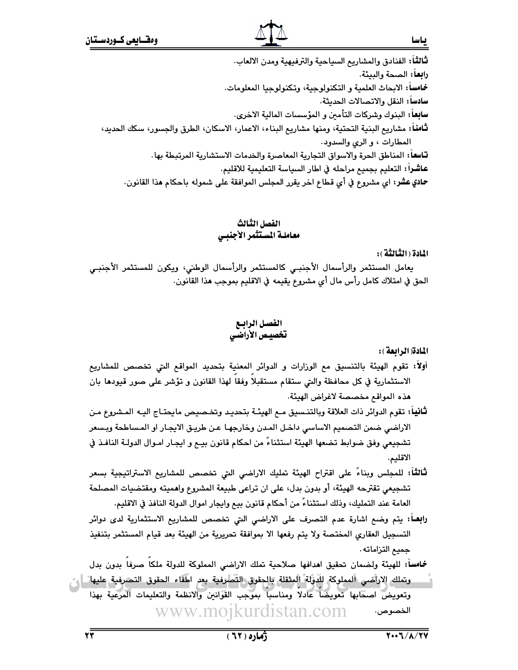ثَـالثَّـاً: الفنادق والمشاريـع السياحية والترفيهية ومدن الالعاب. **رابعاً:** الصحة والبيئة. خامساً: الابحاث العلمية و التكنولوجية، وتكنولوجيا المعلومات. سادساً: النقل والاتصالات الحديثة. سابعاً: البنوك وشركات التأمين و المؤسسات المالية الاخرى. **ثـّامنـ**اً: مشاريـع البنـية التحتية، ومنها مشاريـع البنـاء، الاعمار، الاسكان، الطرق والجسور، سكك الحديد، المطارات ، و الرى والسدود. **تـاسفـ**أ: المناطق الـحرة والاسواق التجارية المعاصرة والخدمات الاستشارية المرتبطة بها ـ عاشراً: التعليم بجميع مراحله في اطار السياسة التعليمية للاقليم. حمادي عشر: اي مشروع في أي قطاع اخر يقرر المجلس الموافقة على شموله باحكام هذا القانون.

# الفصل الثالث معاملة المستثمر الأجنبي

المادة ( الثَّنالثَّة ) :

ياسا

يعامل المستثمر والرأسمال الأجنبـى كالمستثمر والرأسمال الوطني، ويكون للمستثمر الأجنبـي الحق في امتلاك كامل رأس مال أي مشروع يقيمه في الاقليم بموجب هذا القانون.

# الفصل الرابسع

المادة( الرائعة ):

- أولاً: تقوم الهيئة بالتنسيق مع الوزارات و الدوائر المعنية بتحديد المواقع التي تخصص للمشاريع الاستثمارية في كل محافظة والتي ستقام مستقبلا وفقا لهذا القانون و تؤشر على صور قيودها بان هذه المواقع مخصصة لاغراض الهيئة.
- ثانياً: تقوم الدوائر ذات العلاقة وبالتنـسيق مـم الهيئـة بتحديـد وتخـصيص مايحتـاج اليـه المـشروع مـن الاراضي ضمن التصميم الاساسي داخل المدن وخارجها عن طريق الايجار او المساطحة وبسعر تشجيعي وفق ضوابط تضعها الهيئة استثناءً من احكام قانون بيـع و ايجـار امـوال الدولـة النافـذ في الاقليم.
- **ثالثاً:** للمجلس وبناءً على اقتراح الهيئة تمليك الاراضي التي تخصص للمشاريع الاستراتيجية بسعر تشجيعي تقترحه الهيئة، أو بدون بدل، على ان تراعى طبيعة المشروع واهميته ومقتضيات المصلحة العامة عند التمليك، وذلك استثناءً من أحكام قانون بيع وايجار اموال الدولة النافذ في الاقليم.
- **رابعــا:** يتم وضـع اشارة عدم التصرف على الاراضـى التي تخصص للمشاريع الاستثمارية ل*دى* دوائر التسجيل العقاري المختصة ولا يتم رفعها الا بموافقة تحريرية من الهيئة بعد قيام المستثمر بتنفيذ جميع التزاماته .

خمامساً: للهيئة ولضمان تحقيق اهدافها صلاحية تملك الاراضي المملوكة للدولة ملكا صرفا بدون بدل وتملك الاراّضي المملوكة للدوَّلة المثقلة بالجقوق التّطاوفية بعر اطفاء الحقوق التصرفية عليها ً إمن وتعويض اصحابها تعويضاً عادلاً ومناسباً بموجب القوانين والانظمة والتعليمات المرعية بهذا www.moikurdistan.com الخصوص.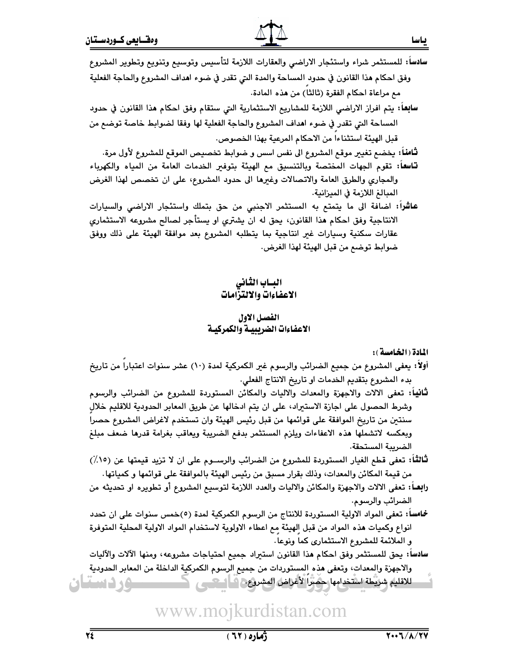سادساً: للمستثمر شراء واستئجار الاراضى والعقارات اللازمة لتأسيس وتوسيع وتنويع وتطوير المشروع وفق احكام هذا القانون في حدود المساحة والمدة التي تقدر في ضوء اهداف المشروع والحاجة الفعلية مع مراعاة احكام الفقرة (ثالثا) من هذه المادة. **سابعاً:** يتم افراز الاراضـي اللازمة للمشاريـع الاستثمارية الـتي ستقام وفق احكام هذا القانون في حدود المساحة التي تقدر في ضوء اهداف المشروع والحاجة الفعلية لها وفقا لضوابط خاصة توضع من قبل الهيئة استثناءا من الاحكام المرعية بهذا الخصوص. **ثَّامناً:** يخضع تغيير موقع المشروع الى نفس اسس و ضوابط تخصيص الموقع للمشروع لأول مرة. **تاسعاً:** تقوم الجهات المختصة وبالتنسيق مع الهيئة بتوفير الخدمات العامة من المياه والكهرباء والمجاري والطرق العامة والاتصالات وغيرها الى حدود المشروع، على ان تخصص لهذا الغرض المبالغ اللازمة في الميزانية. عاشراً: اضافة الى ما يتمتم به المستثمر الاجنبي من حق بتملك واستئجار الاراضى والسيارات الانتاجية وفق احكام هذا القانون، يحق له ان يشتري او يستأجر لصالح مشروعه الاستثماري عقارات سكنية وسيارات غير انتاجية بما يتطلبه المشروع بعد موافقة الهيئة على ذلك ووفق ضوابط توضع من قبل الهيئة لهذا الغرض.

# البساب الثانى الاعفاءات والالتزامات

## الفصل الاول الاعفاءات الضريبيـة والكمركيـة

المادة ( الخامسة ):

- أولا: يعفي المشروع من جميع الضرائب والرسوم غير الكمركية لمدة (١٠) عشر سنوات اعتبارا من تاريخ بدء المشروع بتقديم الخدمات او تاريخ الانتاج الفعلي.
- **ثَّانيا: تعف**ى الالات والاجهزة والمعدات والاليات والمكائن المستوردة للمشروع من الضرائب والرسوم وشرط الحصول على اجازة الاستيراد، على ان يتم ادخالها عن طريق المعابر الحدودية للاقليم خلال سنتين من تاريخ الموافقة على قوائمها من قبل رئيس الهيئة وان تستخدم لاغراض المشروع حصرا وبعكسه لاتشملها هذه الاعفاءات ويلزم المستثمر بدفع الضريبة ويعاقب بغرامة قدرها ضعف مبلغ الضريبة المستحقة.
- ثْنَالثْنَا: تعفي قطع الغيار المستوردة للمشروع من الضرائب والرســـوم على ان لا تزيد قيمتها عن (١٥٪) من قيمة المكائن والمعدات، وذلك بقرار مسبق من رئيس الهيئة بالموافقة على قوائمها و كمياتها.
- رابصًا: تعفَّى الالات والاجهزة والمكائن والاليات والعدد اللازمة لتوسيع المشروع أو تطويره او تحديثه من الضرائب والرسوم.
- **خماسا: تعفي ا**لمواد الاولية المستوردة للانتاج من الرسوم الكمركية لمدة (٥)خمس سنوات على ان تحدد انواع وكميات هذه المواد من قبل الهيئة مع اعطاء الاولوية لاستخدام المواد الاولية المحلية المتوفرة و الملائمة للمشروع الاستثماري كما ونوعا.
- سادساً: يحق للمستثمر وفق احكام هذا القانون استيراد جميع احتياجات مشروعه، ومنها الآلات والآليات والاجهزة والمعدات، وتعفى هذه المستوردات من جميع الرسوم الكمركية الداخلة من المعابر الحدودية للاقليم شريطة استخدامها حضبرا لأغراض المشروع فسأصحبني <u>سوردستان</u>

www.mojkurdistan.com

ياسا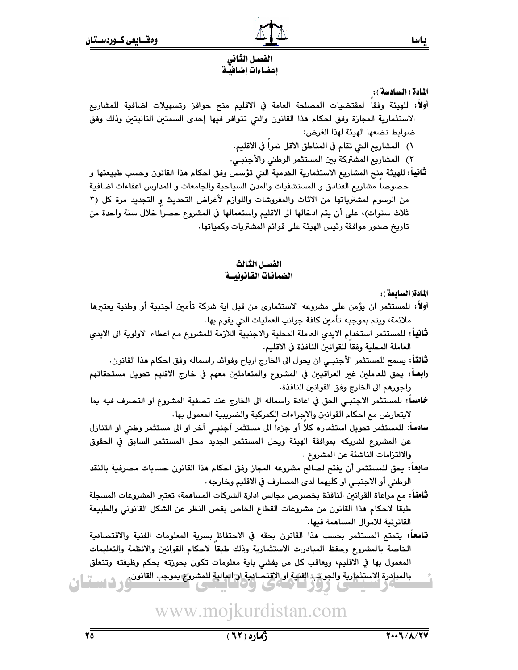# الفصل الثانى اعفساءات اضافيسة

المادة ( السادسة ):

- أولاً: للهيئة وفقا لمقتضيات المصلحة العامة في الاقليم منح حوافز وتسهيلات اضافية للمشاريع الاستثمارية المجازة وفق احكام هذا القانون والتى تتوافر فيها إحدى السمتين التاليتين وذلك وفق ضوابط تضعها الهيئة لهذا الغرض:
	- ١) المشاريع التي تقام في المناطق الاقل نموا في الاقليم.
	- ٢) المشاريع المشتركة بين المستثمر الوطني والأجنبـي.
- **ثانياً:** للهيئة منح المشاريع الاستثمارية الخدمية التي تؤسس وفق احكام هذا القانون وحسب طبيعتها و خصوصا مشاريع الفنادق و المستشفيات والمدن السياحية والجامعات و المدارس اعفاءات اضافية من الرسوم لمشترياتها من الاثاث والمفروشات واللوازم لأغراض التحديث و التجديد مرة كل (٣ ثلاث سنوات)، على أن يتم ادخالها الى الاقليم واستعمالها في المشروع حصرا خلال سنة واحدة من تاريخ صدور موافقة رئيس الهيئة على قوائم المشتريات وكمياتها .

## الفصل الثالث الضمانات القانونيسة

المادة (السابعة):

- أولاً: للمستثمر ان يؤمن على مشروعه الاستثماري من قبل اية شركة تأمين أجنبية أو وطنية يعتبرها ملائمة، ويتم بموجبه تأمين كافة جوانب العمليات التي يقوم بها.
- **ثانيا:** للمستثمر استخدام الايدي العاملة المحلية والاجنبية اللازمة للمشروع مع اعطاء الاولوية الى الايدي العاملة المحلية وفقا للقوانين النافذة في الاقليم.
	- لثَّالثَّا: يسمح للمستثمر الأجنبـي ان يحول الى الخارج ارباح وفوائد راسماله وفق احكام هذا القانون.
- **رابعــاً:** يحق للعاملين غير العراقيين في المشروع والمتعاملين معهم في خارج الاقليم تحويل مستحقاتهم واجورهم الى الخارج وفق القوانين النافذة.
- خامساً: للمستثمر الاجنبـي الحق في اعادة راسماله الى الخارج عند تصفية المشروع او التصرف فيه بما لايتعارض مع احكام القوانين والاجراءات الكمركية والضريبية المعمول بها.
- سادساً: للمستثمر تحويل استثماره كلا أو جزءا الى مستثمر أجنبـي آخر او الى مستثمر وطني او التنازل عن المشروع لشريكه بموافقة الهيئة ويحل المستثمر الجديد محل المستثمر السابق فى الحقوق والالتزامات الناشئة عن المشروع .
- **سابعا:** يحق للمستثمر أن يفتح لصالح مشروعه المجاز وفق احكام هذا القانون حسابات مصرفية بالنقد الوطني أو الاجنبـي او كليهما لدى المصارف في الاقليم وخارجه .
- **ثَّامناً:** مم مراعاة القوانين النافذة بخصوص مجالس ادارة الشركات المساهمة، تعتبر المشروعات المسجلة طبقا لاحكام هذا القانون من مشروعات القطاع الخاص بغض النظر عن الشكل القانوني والطبيعة القانونية للاموال المساهمة فيها.
- **تاسعا:** يتمتع المستثمر بحسب هذا القانون بحقه في الاحتفاظ بسرية المعلومات الفنية والاقتصادية الخاصة بالمشروع وحفظ المبادرات الاستثمارية وذلك طبقا لاحكام القوانين والانظمة والتعليمات المعمول بها في الاقليم، ويعاقب كل من يفشى باية معلومات تكون بحوزته بحكم وظيفته وتتعلق
-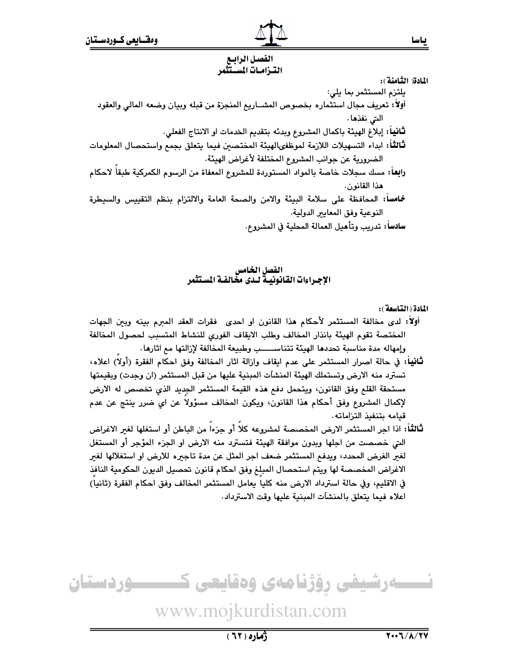# الفصل الرابيع الترامات المستثمر

المادة( الثَّامنة):

يلتزم المستثمر بما يلي: أولاً: تعريف مجال استثماره بخصوص المشــاريع المنجزة من قبله وبيان وضعه المالي والعقود التي نفذها . **ثَّانيا:** إبلاغ الهيئة باكمال المشروع وبدئه بتقديم الخدمات او الانتاج الفعلي.

ثالثاً: ابداء التسهيلات اللازمة لموظفىالهيئة المختصين فيما يتعلق بجمع واستحصال المعلومات الضرورية عن جوانب المشروع المختلفة لأغراض الهيئة.

- رابعاً: مسك سجلات خاصة بالمواد المستوردة للمشروع المعفاة من الرسوم الكمركية طبقاً لاحكام هذا القانون.
- خمامساً: المحافظة على سلامة البيئة والامن والصحة العامة والالتزام بنظم التقييس والسيطرة النوعية وفق المعايير الدولية.
	- سادساً: تدريب وتأهيل العمالة المحلية في المشروع.

# الفصل الخامس<br>الإجـراءات القانونيـة لـدى مخالفـة المستثمر

المادة ( التاسعة ):

- أولاً: لدى مخالفة المستثمر لأحكام هذا القانون او احدى فقرات العقد المبرم بينه وبين الجهات المختصة تقوم الهيئة بانذار المخالف وطلب الايقاف الفوري للنشاط المتسبب لحصول المخالفة وإمهاله مدة مناسبة تحددها الهيئة تتناســــب وطبيعة المخالفة لإزالتها مع اثارها.
- ثَانياً: في حالة اصرار المستثمر على عدم ايقاف وازالة اثار المخالفة وفق احكام الفقرة (أولا) اعلاه، تسترد منه الارض وتستملك الهيئة المنشأت المبنية عليها من قبل المستثمر (ان وجدت) وبقيمتها مستحقة القلع وفق القانون، ويتحمل دفع هذه القيمة المستثمر الجديد الذي تخصص له الارض لإكمال المشروع وفق أحكام هذا القانون، ويكون المخالف مسؤولا عن اي ضرر ينتج عن عدم قيامه بتنفيذ التزاماته.
- **ثالثاً:** اذا اجر المستثمر الارض المخصصة لمشروعه كلاً أو جزءاً من الباطن أو استغلها لغىر الاغراض التي خصصت من اجلها وبدون موافقة الهيئة فتسترد منه الارض او الجزء المؤجر أو المستغل لغير الغرض المحدد، ويدفع المستثمر ضعف اجر المثل عن مدة تاجيره للارض او استغلالها لغير الاغراض المخصصة لها ويتم استحصال المبلغ وفق احكام قانون تحصيل الديون الحكومية النافذ في الاقليم، وفي حالة استرداد الارض منه كليا يعامل المستثمر المخالف وفق احكام الفقرة (ثانيا) اعلاه فيما يتعلق بالمنشآت المبنية عليها وقت الاسترداد.

ےرشیفی رؤژنامەی وەقايعی ك ـــــوردستان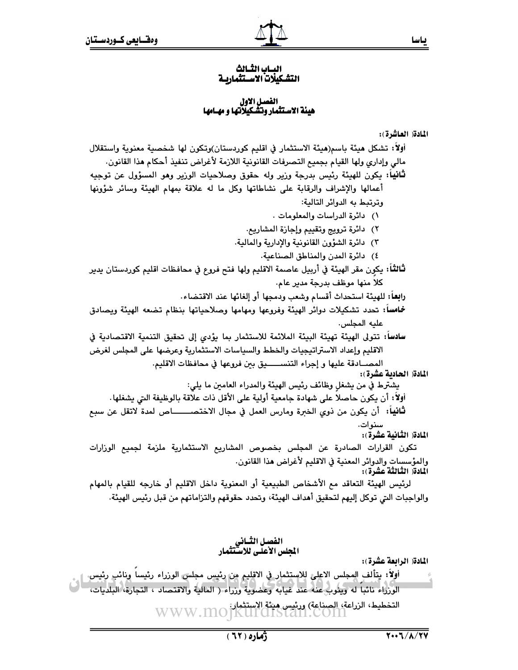## المساب الثسالث التشكيلات الاستثماريـة

# الفصل الاول<br>هيئة الاستثمار وتشكيلاتها و مهـامها

### المادة العاشرة):

أولاً: تشكل ميئة باسم(ميئة الاستثمار في اقليم كوردستان)وتكون لها شخصية معنوية واستقلال مالي وإداري ولها القيام بجميع التصرفات القانونية اللازمة لأغراض تنفيذ أحكام هذا القانون. **ثانيا:** يكون للهيئة رئيس بدرجة وزير وله حقوق وصلاحيات الوزير وهو المسؤول عن توجيه أعمالها والإشراف والرقابة على نشاطاتها وكل ما له علاقة بمهام الهيئة وسائر شؤونها وترتبط به الدوائر التالية: ١) دائرة الدراسات والمعلومات . ٢) دائرة ترويج وتقييم وإجازة المشاريع. ٣) \_دائرة الشؤون القانونية والإدارية والمالية. ٤) دائرة المدن والمناطق الصناعية. ثَّالثَّاً: يكون مقر الهيئة في أربيل عاصمة الاقليم ولها فتح فروع في محافظات اقليم كوردستان يدير كلا منها موظف بدرجة مدير عام. را**بعــا:** للهيئـة استحداث أقسام وشعب ودمجها أو إلغائها عند الاقتضاء. خمامساً: تحدد تشكيلات دوائر الهيئة وفروعها ومهامها وصلاحياتها بنظام تضعه الهيئة ويصادق عليه المجلس. سادسا: تتولى الهيئة تهيئة البيئة الملائمة للاستثمار بما يؤدي إلى تحقيق التنمية الاقتصادية في الاقليم وإعداد الاستراتيجيات والخطط والسياسات الاستثمارية وعرضها على المجلس لغرض المصــادقة عليها و إجراء التنســــــيق بين فروعها في محافظات الاقليم. المادة( الحادية عشرة): يشترط في من يشغل وظائف رئيس الهيئة والمدراء العامين ما يلي: أولاً: أن يكون حاصلا على شهادة جامعية أولية على الأقل ذات علاقة بالوظيفة التي يشغلها. **ثَّانياً:** أن يكون من ذوي الخبرة ومارس العمل في مجال الاختصــــــــاص لمدة لاتقل عن سبع سنوات. المادة( الثانية عشرة): تكون القرارات الصادرة عن المجلس بخصوص المشاريع الاستثمارية ملزمة لجميع الوزارات والمؤسسات والدوائر المعنية في الاقليم لأغراض هذا القانون. المادة( الثّالثّة عشرة): لرئيس الهيئة التعاقد مع الأشخاص الطبيعية أو المعنوية داخل الاقليم أو خارجه للقيام بالمهام

والواجبات التي توكل إليهم لتحقيق أهداف الهيئة، وتحدد حقوقهم والتزاماتهم من قبل رئيس الهيئة.

الفصل الثـاني<br>المجلس الأعلـى للاسـتثمار

المادة( الرابعة عشرة):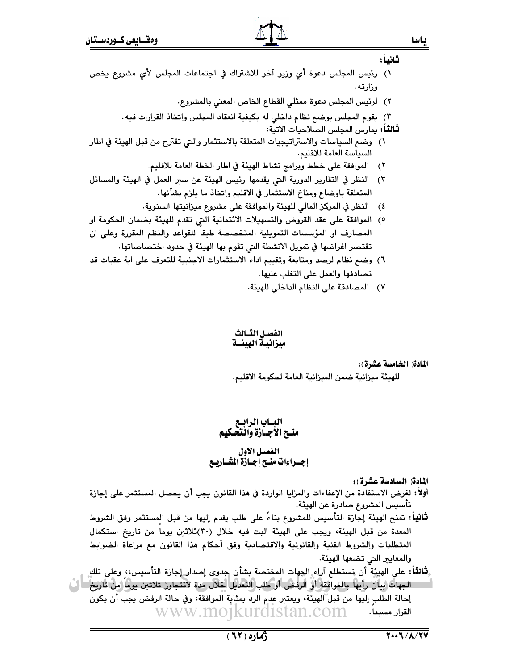- ثانياً : ١) رئيس المجلس دعوة أي وزير آخر للاشتراك في اجتماعات المجلس لأي مشروع يخص وزارته . ٢) لرئيس المجلس دعوة ممثلي القطاع الخاص المعنى بالمشروع. ٢) يقوم المجلس بوضع نظام داخلي له بكيفية انعقاد المجلس واتخاذ القرارات فيه. لثًالثُلَا: يمارس المجلس الصلاحيات الاتية: ١) وضع السياسات والاستراتيجيات المتعلقة بالاستثمار والتي تقترح من قبل الهيئة في اطار السياسة العامة للاقليم. ٢) الموافقة على خطط وبرامج نشاط الهيئة في اطار الخطة العامة للاقليم.
- ٣) النظر في التقارير الدورية التي يقدمها رئيس الهيئة عن سير العمل في الهيئة والمسائل المتعلقة باوضاع ومناخ الاستثمار في الاقليم واتخاذ ما يلزم بشأنها.
	- ٤) النظر في المركز المالي للهيئة والموافقة على مشروع ميزانيتها السنوية.
- ٥) الموافقة على عقد القروض والتسهيلات الائتمانية التي تقدم للهيئة بضمان الحكومة او المصارف او المؤسسات التمويلية المتخصصة طبقا للقواعد والنظم المقررة وعلى ان تقتصر اغراضها في تمويل الانشطة التي تقوم بها الهيئة في حدود اختصاصاتها.
- ٦) وضع نظام لرصد ومتابعة وتقييم اداء الاستثمارات الاجنبية للتعرف على اية عقبات قد تصادفها والعمل على التغلب عليها.
	- ٧) المصادقة على النظام الداخلي للهيئة.

الفصل الثسالث ميزانيـة الهيئــة

المادة( الخامسة عشرة):

للهيئة ميزانية ضمن الميزانية العامة لحكومة الاقليم.

البساب الرابسع<br>منسح الأجسازة والتحكيم الفصل الاول<br>إجــراءات منــج إجــازة المشــاريــع

المادة( السادسة عشرة):

أولاً: لغرض الاستفادة من الإعفاءات والمزايا الواردة في هذا القانون يجب أن يحصل المستثمر على إجازة تأسيس المشروع صادرة عن الهيئة.

- **ثَّانياً:** تمنح الهيئة إجازة التأسيس للمشروع بناءً على طلب يقدم إليها من قبل المستثمر وفق الشروط المعدة من قبل الهيئة، ويجب على الهيئة البت فيه خلال (٣٠)ثلاثين يوما من تاريخ استكمال المتطلبات والشروط الفنية والقانونية والاقتصادية وفق أحكام هذا القانون مع مراعاة الضوابط والمعايير التي تضعها الهيئة.
- لثَّالثَّاً: على الهيئةِ أن تستطلع آراء الجهات المختصة بشأن جدوى إصدار إجازة التأسيس،، وعلى تلك الجهات بيان رأيها بالموافقة أو الرفض أو طلب التعديل خلال مدة لاتتجاوز ثلاثين يوما من تاريخ = ( ) إِحالة الطَّلبِ إِلَيها من قبل الهيئة، ويعتبر عدم الرد بمثابة الموافقة، وفي حالة الرفض يجب أن يكون القرار مسببا. WWW.MO1KUrd1Stan.com

ياسا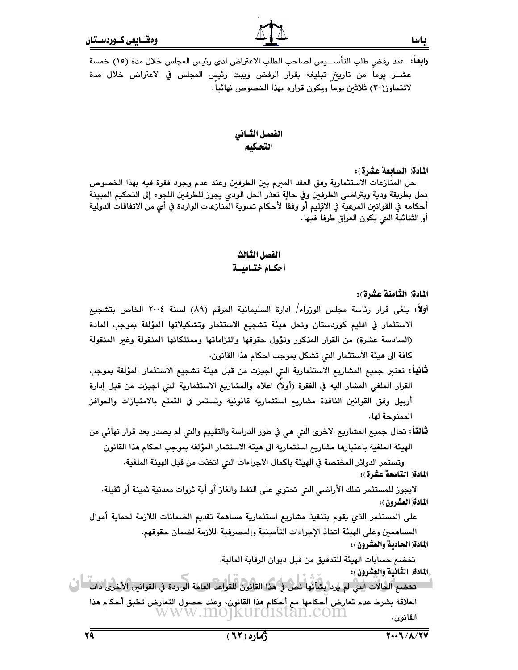**رابع**اً؛ عند رفض طلب التأســـيس لصاحب الطلب الاعتراض ل*دى* رئيس المجلس خلال مدة (١٥) خمسة عشــر يوما من تاريخ تبليغه بقرار الرفض ويبت رئيس المجلس في الاعتراض خلال مدة لاتتجاوز(٣٠) ثلاثين يوما ويكون قراره بهذا الخصوص نهائيا.

## الفصل الثسانى التحكيم

المادة( السائعة عشرة):

ياسا

حل المنازعات الاستثمارية وفق العقد المبرم بين الطرفين وعند عدم وجود فقرة فيه بهذا الخصوص تحل بطريقة ودية وبتراضى الطرفين وفي حالةٍ تعذر الحل الودي يجوز للطرفين اللجوء إلى التحكيم المبينة أحكامه في القوانين المرعية في الاقلِيم أو وفقا لأحكام تسوية المنازعات الواردة في أي من الاتفاقات الدولية أو الثنائية التي يكون العراق طرفا فيها.

## الفصل الثالث أحكسام ختساميسة

المادة( الثامنة عشرة):

أولاً: يلغي قرار رئاسة مجلس الوزراء/ ادارة السليمانية المرقم (٨٩) لسنة ٢٠٠٤ الخاص بتشجيع الاستثمار في اقليم كوردستان وتحل هيئة تشجيع الاستثمار وتشكيلاتها المؤلفة بموجب المادة (السادسة عشرة) من القرار المذكور وتؤول حقوقها والتزاماتها وممتلكاتها المنقولة وغير المنقولة كافة الى هيئة الاستثمار التي تشكل بموجب احكام هذا القانون.

**ثانياً:** تعتبر جميع المشاريع الاستثمارية التي اجيزت من قبل **م**يئة تشجيع الاستثمار المؤلفة بموجب القرار الملغى المشار اليه في الفقرة (أولا) اعلاه والمشاريع الاستثمارية التي اجيزت من قبل إدارة أربيل وفق القوانين النافذة مشاريع استثمارية قانونية وتستمر في التمتع بالامتيازات والحوافز الممنوحة لها.

**ثّالثًا:** تحال جميع المشاريع الاخرى التي هي في طور الدراسة والتقييم والتي لم يصدر بعد قرار نهائي من الهيئة الملغية باعتبارها مشاريع استثمارية الى هيئة الاستثمار المؤلفة بموجب احكام هذا القانون

وتستمر الدوائر المختصة في الهيئة باكمال الاجراءات التي اتخذت من قبل الهيئة الملغية. المادة( التاسعة عشرة):

لايجوز للمستثمر تملك الأراضي التي تحتوي على النفط والغاز أو أية ثروات معدنية ثمينة أو ثقيلة. المادة( العشرون ):

على المستثمر الذي يقوم بتنفيذ مشاريع استثمارية مساهمة تقديم الضمانات اللازمة لحماية أموال المساهمين وعلى الهيئة اتخاذ الإجراءات التأمينية والمصرفية اللازمة لضمان حقوقهم. المادة( الحادية والعشرون ):

تخضم حسابات الهيئة للتدقيق من قبل ديوان الرقابة المالية.

ِالْمَادَةِ( الثَّانِيةِ والعِشْرونِ ):

تخضع الحالات التي لم يرد بشأنها نص في هذا القانون للقواعد العامة الواردة في القوانين الأخرى ذات - ا ل العلاقة بشرط عدم تعارض أحكامها مع أحكام هذا القانون، وعند حصول التعارض تطبق أحكام هذا www.mojkurdistan.com القانون.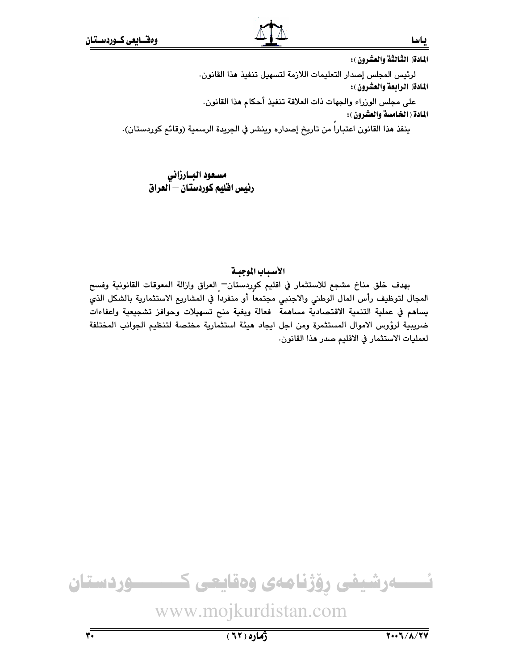المادة( الثّالثة والعشرون ):

ىياسا

لرئيس المجلس إصدار التعليمات اللازمة لتسهيل تنفيذ هذا القانون. المادة( الرابعة والعشرون):

على مجلس الوزراء والجهات ذات العلاقة تنفيذ أحكام هذا القانون.

المادة ( الخامسة والعشرون ) :

ينفذ هذا القانون اعتباراً من تاريخ إصداره وينشر في الجريدة الرسمية (وقائع كوردستان).

مسعود البارزاني رئيس افليم كوردستان – آلعراق

# الأسياب الموجية

بهدف خلق مناخ مشجع للاستثمار في اقليم كوردستان— العراق وازالة المعوقات القانونية وفسح المجال لتوظيف رأس المال الوطنى والاجنبى مجتمعاً أو منفرداً في المشاريع الاستثمارية بالشكل الذي يساهم في عملية التنمية الاقتصادية مساهمة فعالة وبغية منح تسهيلات وحوافز تشجيعية واعفاءات ضريبية لرؤوس الاموال المستثمرة ومن اجل ايجاد هيئة استثمارية مختصة لتنظيم الجوانب المختلفة لعمليات الاستثمار في الاقليم صدر هذا القانون.

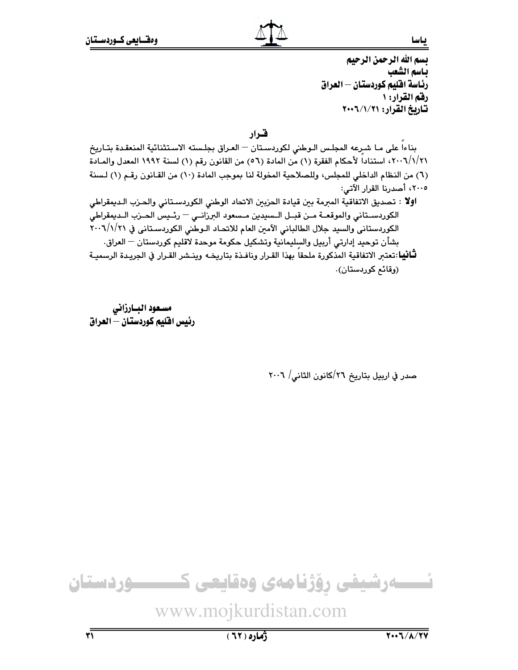ىياسا

بسم الله الرحمن الرحيم باسم الشعب رئاسة افليم كوردستان – العراق رقم القرار: ١ تاريخ القرار: ٢٠٠٦/١/٢٠٠٢

قىرار

بناءا على ما شرعه المجلس الـوطني لكوردسـتان - العـراق بجلسته الاسـتثنائية المنعقدة بتـاريخ ٢٠٠٦/١/٢١، استناداً لأحكام الفقرة (١) من المادة (٥٦) من القانون رقم (١) لسنة ١٩٩٢ المعدل والمـادة (٦) من النظام الداخلي للمجلس، وللصلاحية المخولة لنا بموجب المادة (١٠) من القـانون رقـم (١) لـسنة ٢٠٠٥، أصدرنا القرار الآتي:

**اولا** : تصديق الاتفاقية المبرمة بين قيادة الحزبين الاتحاد الوطني الكوردسـتاني والحـزب الـديمقراطي الكوردستاني والموقعة مئن قبل المسيدين مسعود البرزانيي - رئيس الحنزب التديمقراطي الكوردستاني والسيد جلال الطالباني الآمين العام للاتحـاد الـوطني الكوردسـتاني في ٢٠٠٦/١/٢١ بشأن توحيد إدارتى أربيل والسليمانية وتشكيل حكومة موحدة لاقليم كوردستان — العراق. **ثـَّانيا**ـ:تعتبر الاتفاقية المذكورة ملحقا بهذا القـرار ونافـذة بتاريخـه وينـشر القـرار في الجريـدة الرسميـة (وقائح کوردستان).

مسعود البارزانى رئيس افليم كوردستان — العراق

صدر في اربيل بتاريخ ٢٦/كانون الثاني/ ٢٠٠٦

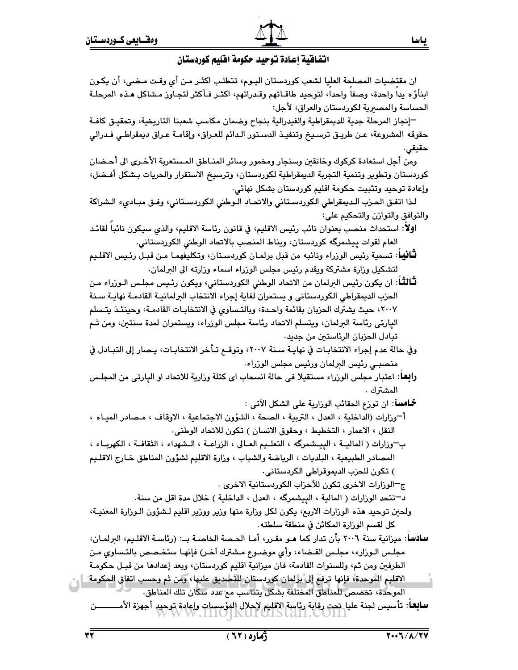# انتفافية إعادة توحيد حكومة افليم كوردستان

ان مقتضيات المصلحة العليا لشعب كوردستان اليـوم، تتطلب اكثـر مـن أي وقـت مـضي، أن يكـون ابنأؤه يدا واحدة، وصفا واحدا، لتوحيد طاقـاتهم وقـدراتهم، اكثـر فـأكثر لتجـاوز مـشاكل هـذه المرحلـة الحساسة والمصعرية لكوردستان والعراق، لأجل:

–إنجاز المرحلة جدية للديمقراطية والفيدرالية بنجاح وضمان مكاسب شعبنا التاريخية، وتحقيـق كافـة حقوقه المشروعة، عـن طريـق ترسـيـخ وتنفيـذ الدسـتور الـدائم للعـراق، وإقامـة عـراق ديمقراطـي فـدرالي حقيقى.

ومن أجل استعادة كركوك وخانقين وسنجار ومخمور وسائر المنـاطق المـستعربة الأخـرى الى أحـضان كوردستان وتطوير وتنمية التجربة الديمقراطية لكوردستان، وترسيخ الاستقرار والحريات بـشكل أفـضل، وإعادة توحيد وتثبيت حكومة اقليم كوردستان بشكل نهائي.

لـذا اتفـق الحـزب الـديمقراطي الكوردسـتاني والاتحـاد الـوطني الكوردسـتاني، وفـق مبـاديء الـشراكة والتوافق والتوازن والتحكيم على:

**اولا**: استحداث منصب بعنوان نائب رئيس الاقليم، في قانون رئاسة الاقليم، والذي سيكون نائبا لقائد العام لقوات ييشمرگه كوردستان، ويناط المنصب بالاتحاد الوطني الكوردستاني.

**لثَّانيا**ً: تسمية رئيس الوزراء ونائبه من قبل برلمـان كوردسـتان، وتكليفهمـا مـن قبـل رئـيس الاقلـيم لتشكيل وزارة مشتركة ويقدم رئيس مجلس الوزراء اسماء وزارته الى البرلمان.

**تـالثـًا**: ان يكون رئيس البرلمان من الاتحاد الوطني الكوردستاني، ويكون رئـيس مجلـس الـوزراء مـن الحزب الديمقراطي الكوردستاني و يستمران لغاية إجراء الانتخاب البرلمانيـة القادمـة نهايـة سـنة ٢٠٠٧، حيث يشترك الحزبان بقائمة واحدة، وبالتـساوي في الانتخابـات القادمـة، وحينئـذ يتـسلم اليارتي رئاسة البرلمان، ويتسلم الاتحاد رئاسة مجلس الوزراء، ويستمران لمدة سنتين، ومن ثـم تبادل الحزيان الرئاستين من جديد.

- وفي حالة عدم إجراء الانتخابـات في نهايـة سـنة ٢٠٠٧، وتوقــع تـأخر الانتخابـات، يـصار إلى التبـادل في منصبـي رئيس البرلمان ورئيس مجلس الوزراء.
- **رابِعا**: اعتبار مجلس الورراء مستقيلا في حالة انسحاب اي كتلة ورارية للاتحاد او اليارتي من المجلـس المشترك .

**خُـامساً**: ان تورع الحقائب الورارية على الشكل الآتي :

- أ¬وزارات (الداخلية ، العدل ، التربية ، الصحة ، الشؤون الاجتماعية ، الاوقاف ، مـصادر الميـاه ، النقل ، الاعمار ، التخطيط ، وحقوق الانسان ) تكون للاتحاد الوطني.
- بِ—وزارات ( الماليــة ، الييــشمرگه ، التعلــيم العــالي ، الزراعــة ، الـشهداء ، الثقافــة ، الكهربــاء ، المصادر الطبيعية ، البلديات ، الرياضة والشباب ، وزارة الاقليم لشؤون المناطق خارج الاقليم ) تكون للحزب الديموقراطي الكردستاني.

ج—الورارات الاخرى تكون للآحزاب الكوردستانية الاخرى .

د–تتحد الوزارات ( المالية ، الييشمرگه ، العدل ، الداخلية ) خلال مدة اقل من سنة.

- ولحين توحيد هذه الوزارات الاربع، يكون لكل وزارة منها وزير ووزير اقليم لـشؤون الـوزارة المعنيـة، كل لقسم الوزارة المكائن في منطقة سلطته .
- **سادسا**: ميزانية سنة ٢٠٠٦ بأن تدار كما هـو مقـرر، أمـا الحـصة الخاصـة بــ: (رئاسـة الاقلـيم، البرلمـان، مجلس الـوزارء، مجلـس القـضاء، وأي موضـوع مـشترك آخـر) فإنهـا ستخـصص بالتـساوي مـن الطرفين ومن ثم، وللسنوات القادمة، فان ميزانية اقليم كوردستان، وبعد إعدادها من قبـل حكومـة
- الاقليم الموحدة، فإنها ترفع إلى برلمان كوردستان للتصديق عليها، ومن ثم وحسب اتفاق الحكومة \_\_ الموحدة، تخصص للمناطق المختلفة بشكل يتناسب مم عدد سكان تلك المناطق.

**سابعاً**: تأسيس لجنة عليا تحت رقابة رئاسة الاقليم لإحلال الفؤسسات وإعادة توحيد أجهزة الأمـــــــــــن<br>المسا**بعاً**: تأسيس لجنة عليا تحت رقابة المساحد المساحد المساحد المساحد المسلحد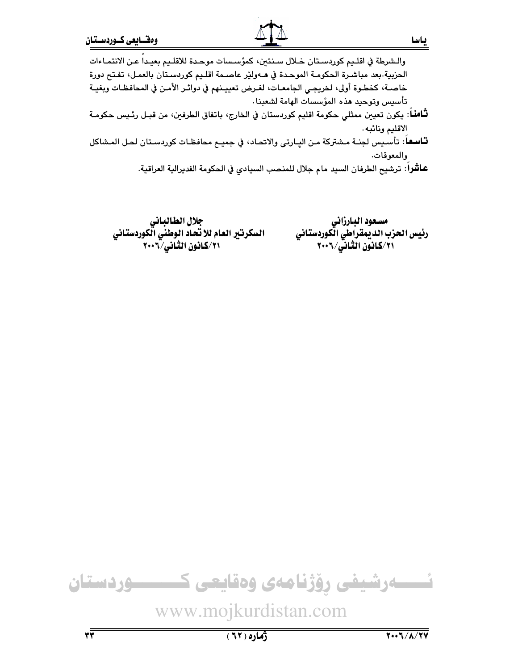- **ثـَّامنـ**اً: يكون تعيين ممثلي حكومة اقليم كوردستان في الخارج، باتفاق الطرفين، من قبـل رئـيس حكومـة الاقليم ونائبه.
- **تـّاسـمـ**اً: تأسـيس لجنــة مـشتركة مـن اليـارتى والاتحـاد، في جميــع محافظـات كوردسـتان لحـل المـشاكل والمعوقات.
	- عاشْراً: ترشيح الطرفان السيد مام جلال للمنصب السيادي في الحكومة الفديرالية العراقية.

مسعود البارزاني رئيس الحزب الديمقراطي الكوردستاني ٢٠١/كانون الشانی/٢٠٠٦

جلال الطالباني السكرتير العام للاتحاد الوطني الكوردستاني ٢٠١/كانون الثانى/٢٠٠٦

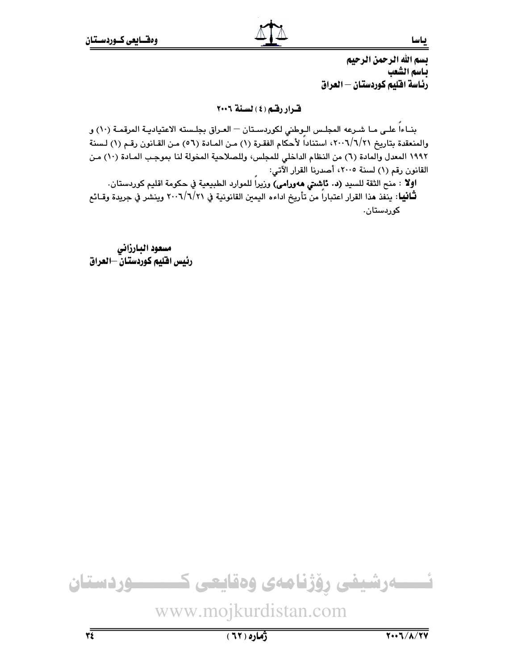بسم الله الرحمن الرحيم باسم الشعب رئاسة افليم كوردستان – العراق

قيرار رقبه (٤) لسنة ٢٠٠٦

بنـاءا علـى مـا شـرعه المجلـس الـوطني لكوردسـتان — العـراق بجلـسته الاعتياديـة المرقمـة (١٠) و والمنعقدة بتاريخ ٢٠٠٦/٦/٢١، استناداً لأحكام الفقرة (١) من المـادة (٥٦) مـن القـانون رقـم (١) لـسنة ١٩٩٢ المعدل والمادة (٦) من النظام الداخلي للمجلس، وللصلاحية المخولة لنا بموجب المـادة (١٠) مـن القانون رقم (١) لسنة ٢٠٠٥، أصدرنا القرار الآتي:

اولا : منح الثقة للسيد (د. تاشتي هەورامي) وزيراً للموارد الطبيعية في حكومة اقليم كوردستان. **ثـَّانيا**: ينفذ هذا القرار اعتباراً من تأريخ اداءه اليمين القانونية في ٢٠٠٦/٦/٢١ وينشر في جريدة وقـائع کوردستان.

مسعود البارزانى رئيس اقليم كوردستان –العراق

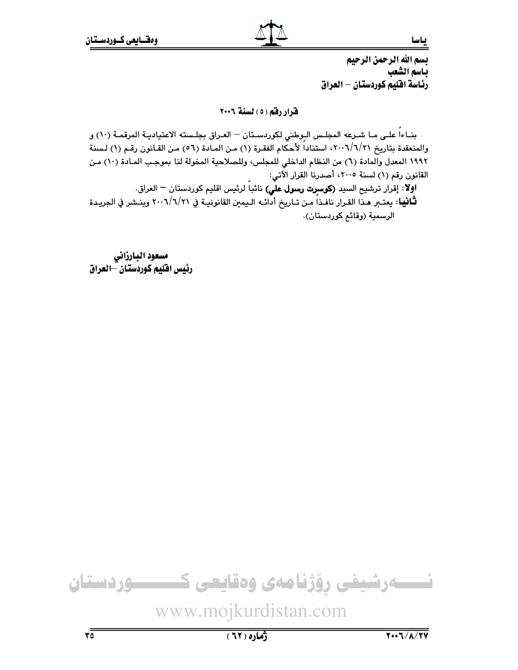بسم الله الرحمن الرحيم باسم الشعب رئاسة افليم كوردستان – العراق

قرار رقم (٥) لسنة ٢٠٠٦

بنـاءاً علـى مـا شـرعه المجلـس الـوطني لكوردسـتان — العـراق بجلـسته الاعتياديـة المرقمـة (١٠) و والمنعقدة بتاريخ ٢٠٠٦/٦/٢١، استناداً لأحكام الفقرة (١) مـن المـادة (٥٦) مـن القـانون رقـم (١) لـسنة ١٩٩٢ المعدل والمادة (٦) من النظام الداخلي للمجلس، وللصلاحية المخولة لنا بموجب المـادة (١٠) مـن القانون رقم (١) لسنة ٢٠٠٥، أصدرنا القرار الآتي:

اوِلاً: إقرار ترشيح السيد (كوسرِت رسول علّي) نائباً لرئيس اقليم كوردستان <sup>—</sup> العراق. **ثَـانيا**: يعتـبر هـذا القـرار نافـذا مـن تـاريخ أدائـه الـيمين القانونيـة في ٢٠٠٦/٦/٢١ وينـشر في الجريـدة الرسمية (وقائم كوردستان).

مسعود البارزاني رئيس افليم كوردستان –العراق

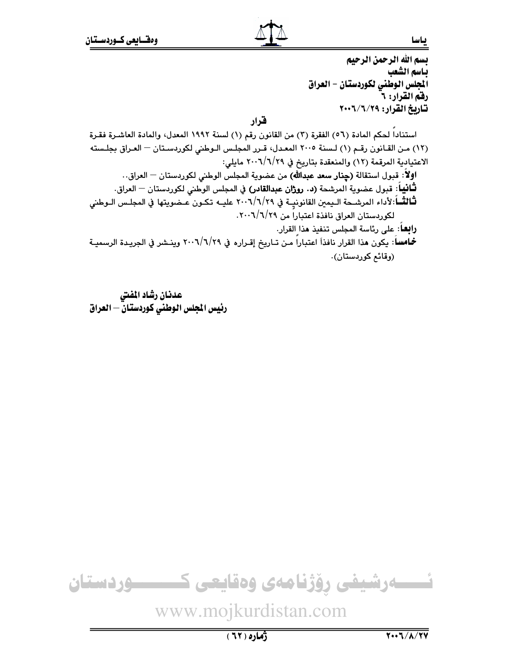ىياسا

بسم الله الرحمن الرحيم باسم الشعب الجلس الوطني لكوردستان - العراق رقم القرار: ٦ تاريخ القرار: ٢٠٠٦/٦/٢٠٠٢

قرار

استنادا لحكم المادة (٥٦) الفقرة (٢) من القانون رقم (١) لسنة ١٩٩٢ المعدل، والمادة العاشرة فقرة (١٢) من القانون رقم (١) لسنة ٢٠٠٥ المعدل، قرر المجلس الـوطني لكوردسـتان – العـراق بجلـسته الاعتيادية المرقمة (١٢) والمنعقدة بتاريخ في ٢٠٠٦/٦/٢٩ مايلي: اولاً: قبول استقالة (**حِنار سعد عبدالله**) من عضوية المجلس الوطني لكوردستان <sup>—</sup> العراق.. **ثَـانيا**اً: قبول عضوية المرشحة **(د. روژان عبدالقادر)** في المجلس الوطني لكوردستان <sup>ـــ</sup> العراق. لثَّالثَّــاً:لأداء المرشـحة الـيمين القانونيــة في ٢٠٠٦/٦/٢٩ عليــه تكـون عـضويتها في المجلـس الـوطني لكوربستان العراق نافذة اعتباراً من ٢٠٠٦/٦/٢٩. **رابعاً**: على رئاسة المجلس تنفيذ **م**ذا القرار. خامسا: يكون مذا القرار نافذاَ اعتباراً من تـاريخ إقـراره في ٢٠٠٦/٦/٢٩ وينـشر في الجريـدة الرسميـة (وقائم كوردستان).

عدنان رشاد المفتى رئيس المجلس الوطني كوردستانّ – العراق



www.mojkurdistan.com

 $(71)$ ٥)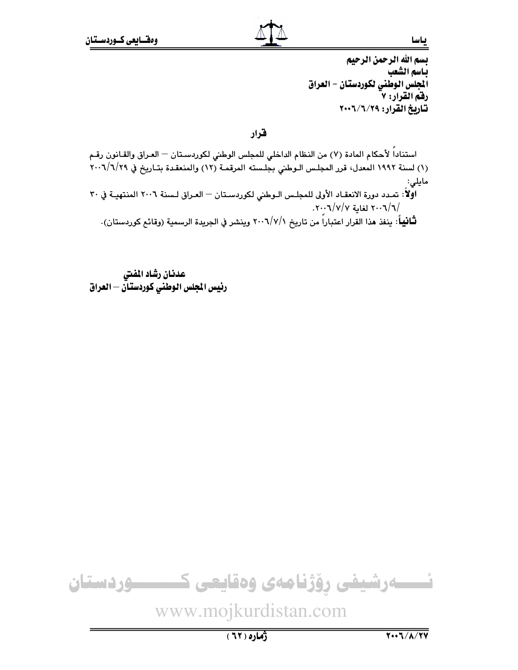بسم الله الرحمن الرحيم باسم الشعب الجلس الوطني لكوردستان - العراق رقم القرار: ٧ تاريخ القرار: ٢٠٠٦/٦/٢٠٠٢

قرار

استناداً لأحكام المادة (٧) من النظام الداخلي للمجلس الوطني لكوردسـتان — العـراق والقـانون رقـم (١) لسنة ١٩٩٢ المعدل، قرر المجلس الـوطني بجلـسته المرقمـة (١٢) والمنعقـدة بتـاريخ في ٢٠٠٦/٦/٢٩ مايلى: اوَّلاً: تمـدد دورة الانعقـاد الأولى للمجلـس الـوطني لكوردسـتان — العـراق لـسنة ٢٠٠٦ المنتهيـة في ٣٠

/٢٠٠٦ لغابة ٢٠٠٦/٧/٢٠٠٦. **تْـَانيباً**: ينفذ هذا القرار اعتباراً من تاريخ ٢٠٠٦/٧/١ وينشر في الجريدة الرسمية (وقائع كوردستان).

عدنان رشاد المفتى رئيس المجلس الوطنى كوردستان — العراق

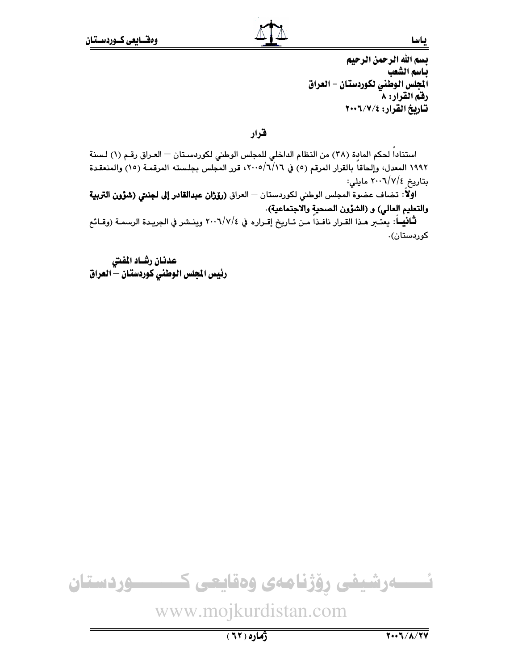بسم الله الرحمن الرحيم باسم الشعب الجلس الوطني لكوردستان - العراق رفق القرار: ٨ تاريخ القرار: ٢٠٠٦/٧/٤

قرار

استناداً لحكم المادة (٢٨) من النظام الداخلي للمجلس الوطني لكوردسـتان — العـراق رقـم (١) لـسنة ١٩٩٢ المعدل، وإلحاقاً بالقرار المرقم (٥) في ٢٠٠٥/٦/١٦، قرر المجلس بجلسته المرقمـة (١٥) والمنعقـدة بتاريخ ٢٠٠٦/٧/٤ مايلي:

اولاً: تضاف عضوة المجلس الوطني لكوردستان — العراق (**رۆژان عبدالقادر إلى لجنتي (شؤون التربية** والتعليم العالي) و (الشؤون الصحية والاجتماعية).

**ثَـّانيــا**: يعتـبر هـذا القـرار نافـذا مـن تـاريخ إقـراره في ٢٠٠٦/٧/٤ وينـشر في الجريـدة الرسمـة (وقـائـع کوردستان).

عدنان رشاد المفتى رئيس الجلس الوطني كوردستان – العراق

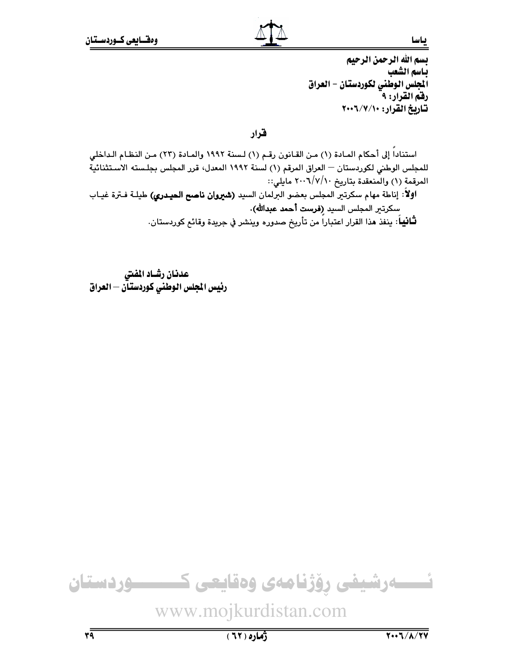بسم الله الرحمن الرحيم باسم الشعب الجلس الوطني لكوردستان - العراق رفقم القرار: ٩ تاريخ القرار: ١٠٠٦/٧/١٠

قرار

استناداً إلى أحكام المـادة (١) مـن القـانون رقـم (١) لـسنة ١٩٩٢ والمـادة (٢٣) مـن النظـام الـداخلي للمجلس الوطني لكوردستان — العراق المرقم (١) لسنة ١٩٩٢ المعدل، قرر المجلس بجلسته الاستثنائية المرقمة (١) والمنعقدة بتاريخ ٢٠٠٦/٧/١٠ مايلي::

اولاً: إناطة مهام سكرتير المجلس بعضو البرلمان السيد (شيروان ناصح الحيدري) طيلـة فـترة غيـاب سكرتير المجلس السيد (فرست أحمد عبدالله).

**ثَـانيبا**ً: ينفذ هذا القرار اعتباراً من تأريخ صدوره وينشر في جريدة وقائع كوردستان.

عدنان رشـاد المفتى رئيس المجلس الوطنى كوردستـأن — العراق



ژماره ( ٦٢ )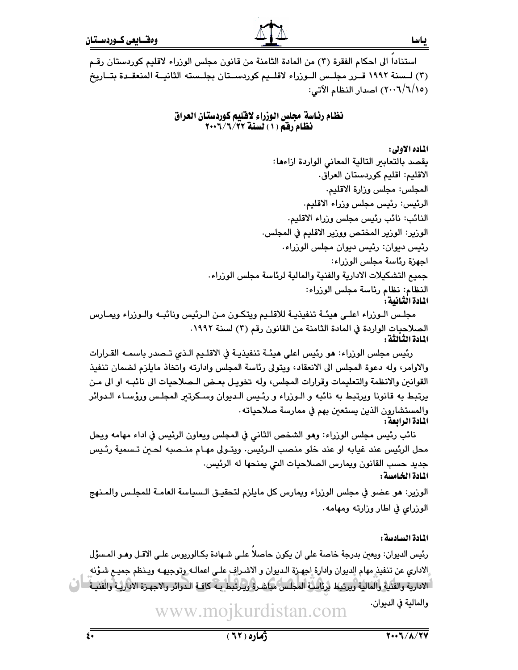استنادا الى احكام الفقرة (٣) من المادة الثامنة من قانون مجلس الوزراء لاقليم كوردستان رقـم (٣) لـسنة ١٩٩٢ قــرر مجلـس الــوزراء لاقلــيم كوردســتان بجلــسته الثانيــة المنعقــدة بتــاريخ (٢٠٠٦/٦/١٥) اصدار النظام الآتي:

#### نظام رئاسة مجلس الوزراء لاقليم كوردستان العراق نظام رقم (١) لسنة ٢٠٠٦/٦/٢

الماده الأولى:

ياسا

يقصد بالتعابير التالية المعانى الواردة ازاءها: الاقليم: اقليم كوردستان العراق. المجلس: مجلس وزارة الاقليم. الرئيس: رئيس مجلس وزراء الاقليم. النائب: نائب رئيس مجلس وزراء الاقليم. الوزير: الوزير المختص ووزير الاقليم في المجلس. رئيس ديوان: رئيس ديوان مجلس الوزراء. اجهزة رئاسة مجلس الوزراء: جميع التشكيلات الادارية والفنية والمالية لرئاسة مجلس الوزراء. النظام: نظام رئاسة مجلس الوزراء: المادة الثانية :

مجلس الـوزراء اعلـي هيئــة تنفيذيــة للاقلـيم ويتكـون مـن الـرئيس ونائبــه والـوزراء ويمــارس الصلاحيات الواردة في المادة الثامنة من القانون رقم (٢) لسنة ١٩٩٢. المادة الثبالثة :

رئيس مجلس الوزراء: هو رئيس اعلى هيئـة تنفيذيـة في الاقلـيم الـذي تـصدر باسمـه القـرارات والاوامر، وله دعوة المجلس الى الانعقاد، ويتولى رئاسة المجلس وادارته واتخاذ مايلزم لضمان تنفيذ القوانين والانظمة والتعليمات وقرارات المجلس، وله تخويـل بعـض الـصلاحيات الى نائبـه او الى مـن يرتبط به قانونا ويرتبط به نائبه و الـوزراء و رئـيس الـديوان وسـكرتير المجلـس ورؤسـاء الـدوائر والمستشارون الذين يستعين بهم في ممارسة صلاحياته. المادة الرابعة :

نائب رئيس مجلس الوزراء: وهو الشخص الثاني في المجلس ويعاون الرئيس في اداء مهامه ويحل محل الرئيس عند غيابه او عند خلو منصب الـرئيس· ويتـولى مهـام منـصبه لحـين تـسمية رئـيس جديد حسب القانون ويمارس الصلاحيات التي يمنحها له الرئيس. المادة الخامسة :

الورير: هو عضو في مجلس الورراء ويمارس كل مايلزم لتحقيـق الـسياسة العامـة للمجلـس والمـنهج الوزراي في اطار وزارته ومهامه.

المادة السادسة :

رئيس الديوان: ويعبن بدرجة خاصة على ان يكون حاصلا علـى شـهادة بكـالوريوس علـى الاقـل وهـو المـسؤل إلاداري عن تنفيذ مهام الديوان وادارة اجهزة الديوان و الاشراف على اعمالـه وتوجيهـه ويـنظم جميـم شـؤنه [الادارية والفئية والمالية ويرتبط برئاسية المجلس مباشرة ويرتبط بـه كافـة الـدوائر والاجهـزة الاداريـة والفنيـة والمالية في الديوان.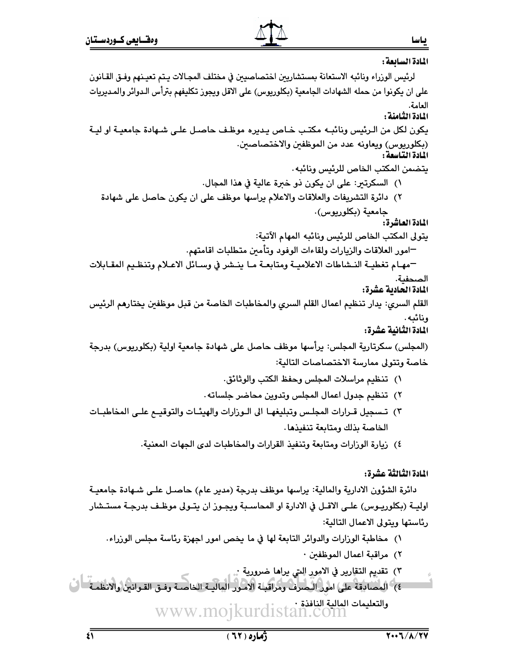المادة السابعة :

- لرئيس الوزراء ونائبه الاستعانة بمستشاريين اختصاصيين في مختلف المجـالات بـتم تعبـنهم وفـق القـانون على ان يكونوا من حمله الشهادات الجامعية (بكلوريوس) على الاقل ويجوز تكليفهم بترأس الـدوائر والمـديريات اامامة. المادة الثامنة : يكون لكل من الـرئيس ونائبـه مكتـب خـاص يـديره موظـف حاصـل علـى شـهادة جامعيـة او ليـة (بكلوريوس) ويعاونه عدد من الموظفين والاختصاصين. المادة التناسعا بتضمن المكتب الخاص للرئيس ونائيه . ١) السكرتير: على ان يكون ذو خبرة عالية في هذا المجال. ٢) دائرة التشريفات والعلاقات والاعلام براسها موظف على ان يكون حاصل على شهادة جامعية (بكلوريوس). المادة العاشرة: يتولى المكتب الخاص للرئيس ونائبه المهام الآتية: −امور العلاقات والزيارات ولقاءات الوفود وتأمين متطلبات اقامتهم. —مهـام تغطيــة النــشاطات الاعلاميــة ومتابعــة مــا ينــشر في وســائل الاعــلام وتنظـيم المقــابلات الصحفية. المادة الحادية عشرة: القلم السرى: يدار تنظيم اعمال القلم السرى والمخاطبات الخاصة من قبل موظفين يختارهم الرئيس ونائىه . المادة الثانية عشرة: (المجلس) سكرتارية المجلس: يرأسها موظف حاصل على شهادة جامعية اولية (بكلوريوس) بدرجة خاصة وتتولى ممارسة الاختصاصات التالية: ١) تنظيم مراسلات المجلس وحفظ الكتب والوثائق. ٢) تنظيم جدول اعمال المجلس وتدوين محاضر جلساته . ٣) تـسجيل قـرارات المجلـس وتبليغهـا الى الـورارات والهيئــات والتوقيــع علــى المخاطبــات الخاصة بذلك ومتابعة تنفيذها. ٤) زيارة الوزارات ومتابعة وتنفيذ القرارات والمخاطبات لدى الجهات المعنية. المادة الثالثة عشرة: دائرة الشؤون الادارية والمالية: يراسها موظف بدرجة (مدير عام) حاصـل علـي شـهادة جامعيــة اوليــة (بكلوريـوس) علــى الاقــل في الادارة او المحاسـبـة ويجـوز ان يتــولى موظـف بدرجـة مستــشار رئاستها ويتولى الاعمال التالية: ١) مخاطبة الوزارات والدوائر التابعة لها في ما يخص امور اجهزة رئاسة مجلس الوزراء. ٢) مراقبة اعمال الموظفين ·
	- ٣) تقديم التقارير في الامور التي يراها ضرورية :
- ٤) المصادقة على امور اليصرف ومراقبة الامور المالية الخاصة وفـق القـوانش والانظمـة ال والتعليمات العالية النافذة · www.mojkurdistan.com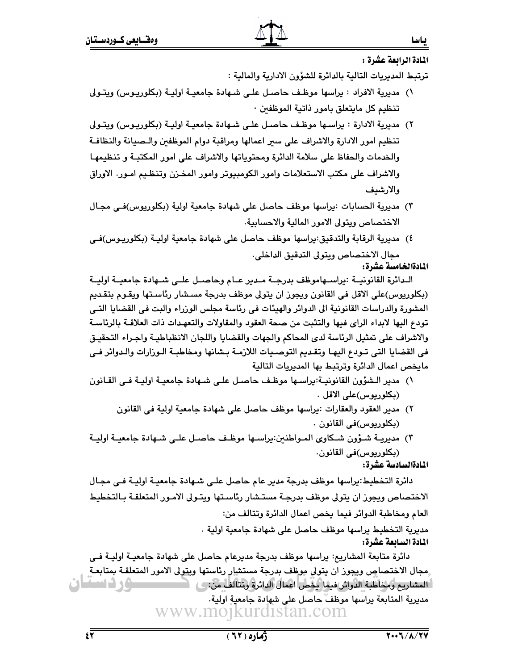المادة الرائعة عشرة :

ياسا

ترتبط المديريات التالية بالدائرة للشؤون الادارية والمالية :

- ١) مديرية الافراد : يراسها موظف حاصل علـى شـهادة جامعيـة اوليـة (بكلوريـوس) ويتـولى تنظيم كل مايتعلق بامور ذاتية الموظفين ·
- ٢) مديرية الادارة : يراسـها موظـف حاصـل علـى شـهادة جامعيـة اوليــة (بكلوريـوس) ويتـولى تنظيم امور الادارة والاشراف على سير اعمالها ومراقبة دوام الموظفين والـصيانة والنظافـة والخدمات والحفاظ على سلامة الدائرة ومحتوياتها والاشراف على امور المكتبـة و تنظيمهـا والاشراف على مكتب الاستعلامات وامور الكومبيوتر وامور المخـزن وتنظـيم امـور. الاوراق والارشدف
- ٣) مديرية الحسابات :يراسها موظف حاصل على شهادة جامعية اولية (بكلوريوس)فـي مجـال الاختصاص ويتولى الامور المالية والاحسابية.
- ٤) مديرية الرقابة والتدقيق:يراسها موظف حاصل على شهادة جامعية اوليــة (بكلوريـوس)فــي مجال الاختصاص ويتولى التدقيق الداخلي.

# المادةالخامسة عشرة:

الـدائرة القانونيــة :يراسـهاموظف بدرجـة مـدير عـام وحاصـل علــى شــهادة جامعيــة اوليــة (بكلوريوس)على الاقل في القانون ويجوز ان يتولى موظف بدرجة مسـشار رئاسـتها ويقـوم بتقـديم المشورة والدراسات القانونية الى الدوائر والهيئات في رئاسة مجلس الوزراء والبت في القضايا التـي تودع اليها لابداء الراي فيها والتثبت من صحة العقود والمقاولات والتعهدات ذات العلاقــة بالرئاســة والاشراف على تمثيل الرئاسة لدى المحاكم والجهات والقضايا واللجان الانظباطيـة واجـراء التحقيـق في القضايا التي تـودع اليهـا وتقـديم التوصـيات اللازمـة بـشانها ومخاطبـة الـوزارات والـدوائر فـي مايخص اعمال الدائرة وترتبط بها المديريات التالية

- ١) مدير الـشؤون القانونيـة:يراسـها موظـف حاصـل علـى شـهادة جامعيـة اوليـة فـى القـانون (بكلوريوس)على الاقل .
	- ٢) مدير العقود والعقارات :يراسها موظف حاصل على شهادة جامعية اولية في القانون (بكلوريوس)في القانون .
- ٣) مديريــة شــؤون شــكاوي المـواطنين:يراســها موظـف حاصــل علــى شــهادة جامعيــة اوليــة (بكلوريوس)في القانون.

المادةالسادسة عشرة:

دائرة التخطيط:يراسها موظف بدرجة مدير عام حاصل على شـهادة جامعيـة اوليـة فـى مجـال الاختصاص ويجوز ان يتولى موظف بدرجة مستشار رئاستها ويتـولى الامـور المتعلقـة بـالتخطيط العام ومخاطبة الدوائر فيما يخص اعمال الدائرة وتتالف من:

مديرية التخطيط يراسها موظف حاصل على شهادة جامعية اولية . المادة السابعة عشرة:

دائرة متابعة المشاريح: يراسها موظف بدرجة مديرعام حاصل على شهادة جامعيـة اوليـة فـي مجال الاختصاص ويجوز ان يتولى موظف بدرجة مستشار رئاستها وي<u>ت</u>ولى الامور المتعلقـة بمتابعـة ور د سطان مديرية المتابعة يراسها موظفّ حاصل على شهادة جامعية اولية. www.mojkurdistan.com